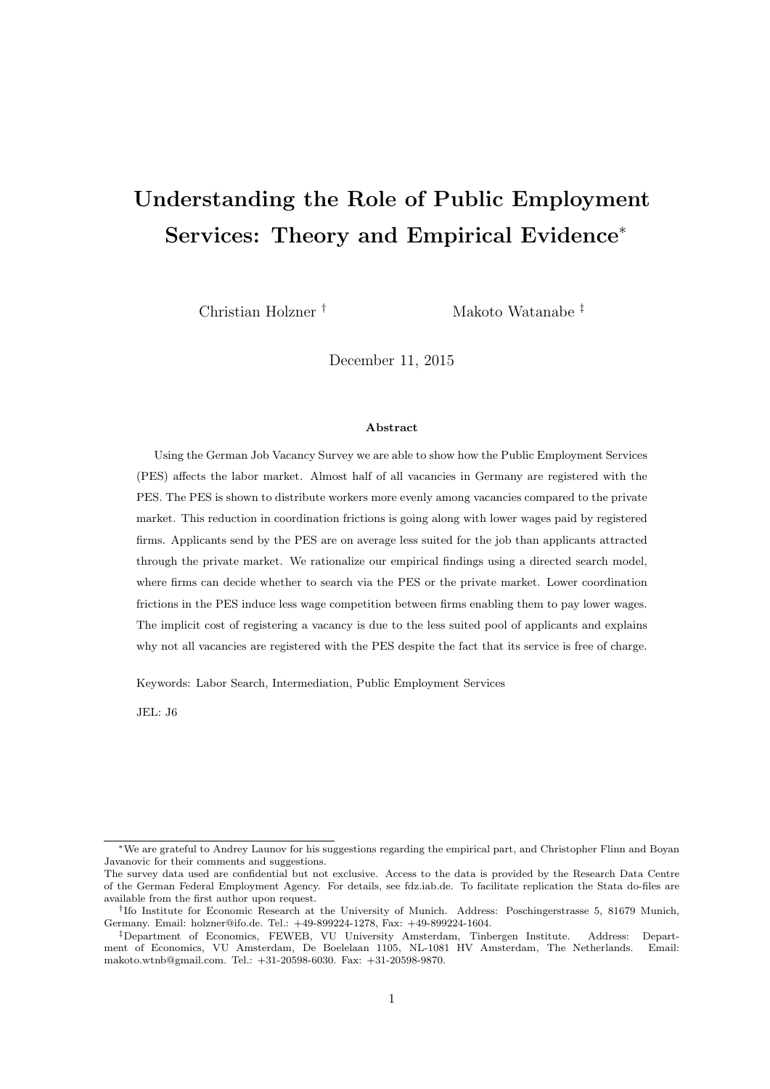# Understanding the Role of Public Employment Services: Theory and Empirical Evidence<sup>∗</sup>

Christian Holzner † Makoto Watanabe ‡

December 11, 2015

#### Abstract

Using the German Job Vacancy Survey we are able to show how the Public Employment Services (PES) affects the labor market. Almost half of all vacancies in Germany are registered with the PES. The PES is shown to distribute workers more evenly among vacancies compared to the private market. This reduction in coordination frictions is going along with lower wages paid by registered firms. Applicants send by the PES are on average less suited for the job than applicants attracted through the private market. We rationalize our empirical findings using a directed search model, where firms can decide whether to search via the PES or the private market. Lower coordination frictions in the PES induce less wage competition between firms enabling them to pay lower wages. The implicit cost of registering a vacancy is due to the less suited pool of applicants and explains why not all vacancies are registered with the PES despite the fact that its service is free of charge.

Keywords: Labor Search, Intermediation, Public Employment Services

JEL: J6

<sup>∗</sup>We are grateful to Andrey Launov for his suggestions regarding the empirical part, and Christopher Flinn and Boyan Javanovic for their comments and suggestions.

The survey data used are confidential but not exclusive. Access to the data is provided by the Research Data Centre of the German Federal Employment Agency. For details, see fdz.iab.de. To facilitate replication the Stata do-files are available from the first author upon request.

<sup>†</sup> Ifo Institute for Economic Research at the University of Munich. Address: Poschingerstrasse 5, 81679 Munich, Germany. Email: holzner@ifo.de. Tel.: +49-899224-1278, Fax: +49-899224-1604.

<sup>‡</sup>Department of Economics, FEWEB, VU University Amsterdam, Tinbergen Institute. Address: Department of Economics, VU Amsterdam, De Boelelaan 1105, NL-1081 HV Amsterdam, The Netherlands. Email: makoto.wtnb@gmail.com. Tel.: +31-20598-6030. Fax: +31-20598-9870.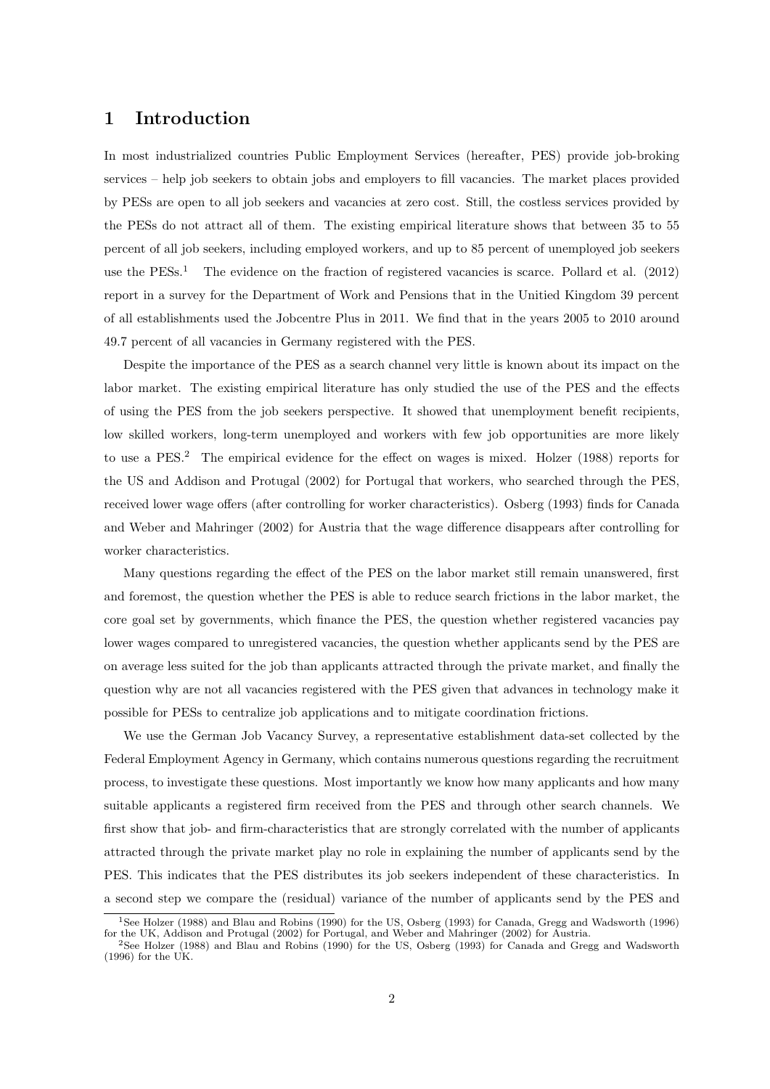# 1 Introduction

In most industrialized countries Public Employment Services (hereafter, PES) provide job-broking services – help job seekers to obtain jobs and employers to fill vacancies. The market places provided by PESs are open to all job seekers and vacancies at zero cost. Still, the costless services provided by the PESs do not attract all of them. The existing empirical literature shows that between 35 to 55 percent of all job seekers, including employed workers, and up to 85 percent of unemployed job seekers use the  $PESS<sup>1</sup>$  The evidence on the fraction of registered vacancies is scarce. Pollard et al. (2012) report in a survey for the Department of Work and Pensions that in the Unitied Kingdom 39 percent of all establishments used the Jobcentre Plus in 2011. We find that in the years 2005 to 2010 around 49.7 percent of all vacancies in Germany registered with the PES.

Despite the importance of the PES as a search channel very little is known about its impact on the labor market. The existing empirical literature has only studied the use of the PES and the effects of using the PES from the job seekers perspective. It showed that unemployment benefit recipients, low skilled workers, long-term unemployed and workers with few job opportunities are more likely to use a PES.<sup>2</sup> The empirical evidence for the effect on wages is mixed. Holzer (1988) reports for the US and Addison and Protugal (2002) for Portugal that workers, who searched through the PES, received lower wage offers (after controlling for worker characteristics). Osberg (1993) finds for Canada and Weber and Mahringer (2002) for Austria that the wage difference disappears after controlling for worker characteristics.

Many questions regarding the effect of the PES on the labor market still remain unanswered, first and foremost, the question whether the PES is able to reduce search frictions in the labor market, the core goal set by governments, which finance the PES, the question whether registered vacancies pay lower wages compared to unregistered vacancies, the question whether applicants send by the PES are on average less suited for the job than applicants attracted through the private market, and finally the question why are not all vacancies registered with the PES given that advances in technology make it possible for PESs to centralize job applications and to mitigate coordination frictions.

We use the German Job Vacancy Survey, a representative establishment data-set collected by the Federal Employment Agency in Germany, which contains numerous questions regarding the recruitment process, to investigate these questions. Most importantly we know how many applicants and how many suitable applicants a registered firm received from the PES and through other search channels. We first show that job- and firm-characteristics that are strongly correlated with the number of applicants attracted through the private market play no role in explaining the number of applicants send by the PES. This indicates that the PES distributes its job seekers independent of these characteristics. In a second step we compare the (residual) variance of the number of applicants send by the PES and

<sup>&</sup>lt;sup>1</sup>See Holzer (1988) and Blau and Robins (1990) for the US, Osberg (1993) for Canada, Gregg and Wadsworth (1996) for the UK, Addison and Protugal (2002) for Portugal, and Weber and Mahringer (2002) for Austria.

<sup>2</sup>See Holzer (1988) and Blau and Robins (1990) for the US, Osberg (1993) for Canada and Gregg and Wadsworth (1996) for the UK.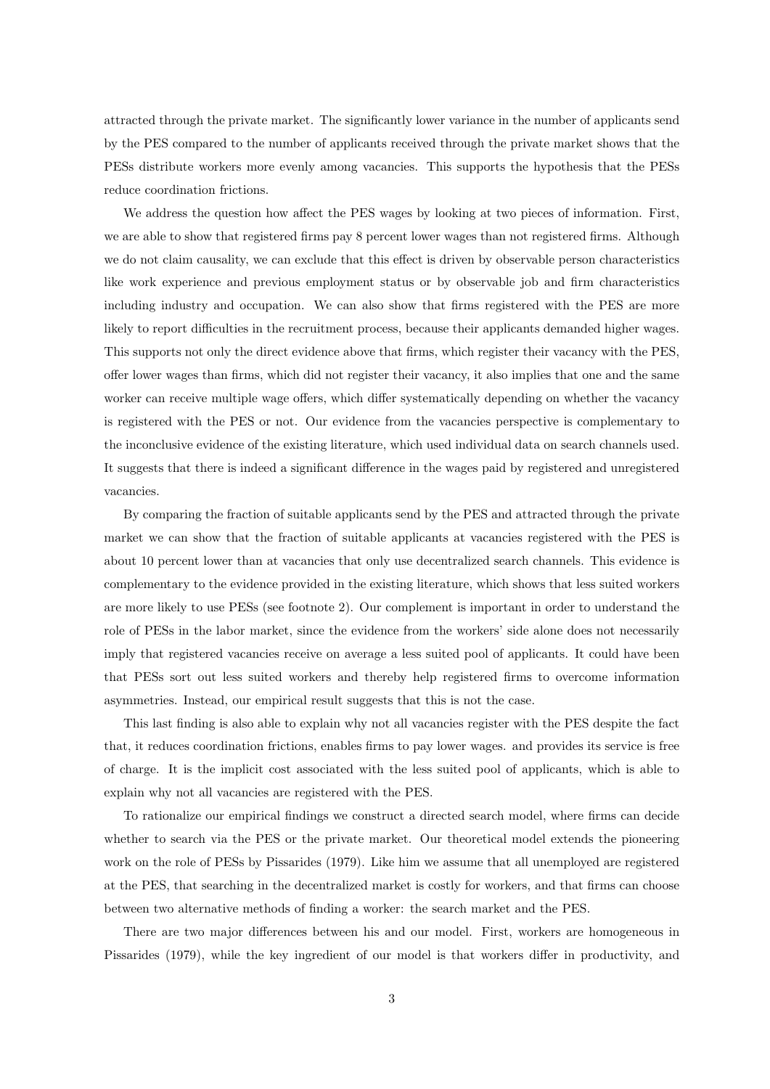attracted through the private market. The significantly lower variance in the number of applicants send by the PES compared to the number of applicants received through the private market shows that the PESs distribute workers more evenly among vacancies. This supports the hypothesis that the PESs reduce coordination frictions.

We address the question how affect the PES wages by looking at two pieces of information. First, we are able to show that registered firms pay 8 percent lower wages than not registered firms. Although we do not claim causality, we can exclude that this effect is driven by observable person characteristics like work experience and previous employment status or by observable job and firm characteristics including industry and occupation. We can also show that firms registered with the PES are more likely to report difficulties in the recruitment process, because their applicants demanded higher wages. This supports not only the direct evidence above that firms, which register their vacancy with the PES, offer lower wages than firms, which did not register their vacancy, it also implies that one and the same worker can receive multiple wage offers, which differ systematically depending on whether the vacancy is registered with the PES or not. Our evidence from the vacancies perspective is complementary to the inconclusive evidence of the existing literature, which used individual data on search channels used. It suggests that there is indeed a significant difference in the wages paid by registered and unregistered vacancies.

By comparing the fraction of suitable applicants send by the PES and attracted through the private market we can show that the fraction of suitable applicants at vacancies registered with the PES is about 10 percent lower than at vacancies that only use decentralized search channels. This evidence is complementary to the evidence provided in the existing literature, which shows that less suited workers are more likely to use PESs (see footnote 2). Our complement is important in order to understand the role of PESs in the labor market, since the evidence from the workers' side alone does not necessarily imply that registered vacancies receive on average a less suited pool of applicants. It could have been that PESs sort out less suited workers and thereby help registered firms to overcome information asymmetries. Instead, our empirical result suggests that this is not the case.

This last finding is also able to explain why not all vacancies register with the PES despite the fact that, it reduces coordination frictions, enables firms to pay lower wages. and provides its service is free of charge. It is the implicit cost associated with the less suited pool of applicants, which is able to explain why not all vacancies are registered with the PES.

To rationalize our empirical findings we construct a directed search model, where firms can decide whether to search via the PES or the private market. Our theoretical model extends the pioneering work on the role of PESs by Pissarides (1979). Like him we assume that all unemployed are registered at the PES, that searching in the decentralized market is costly for workers, and that firms can choose between two alternative methods of finding a worker: the search market and the PES.

There are two major differences between his and our model. First, workers are homogeneous in Pissarides (1979), while the key ingredient of our model is that workers differ in productivity, and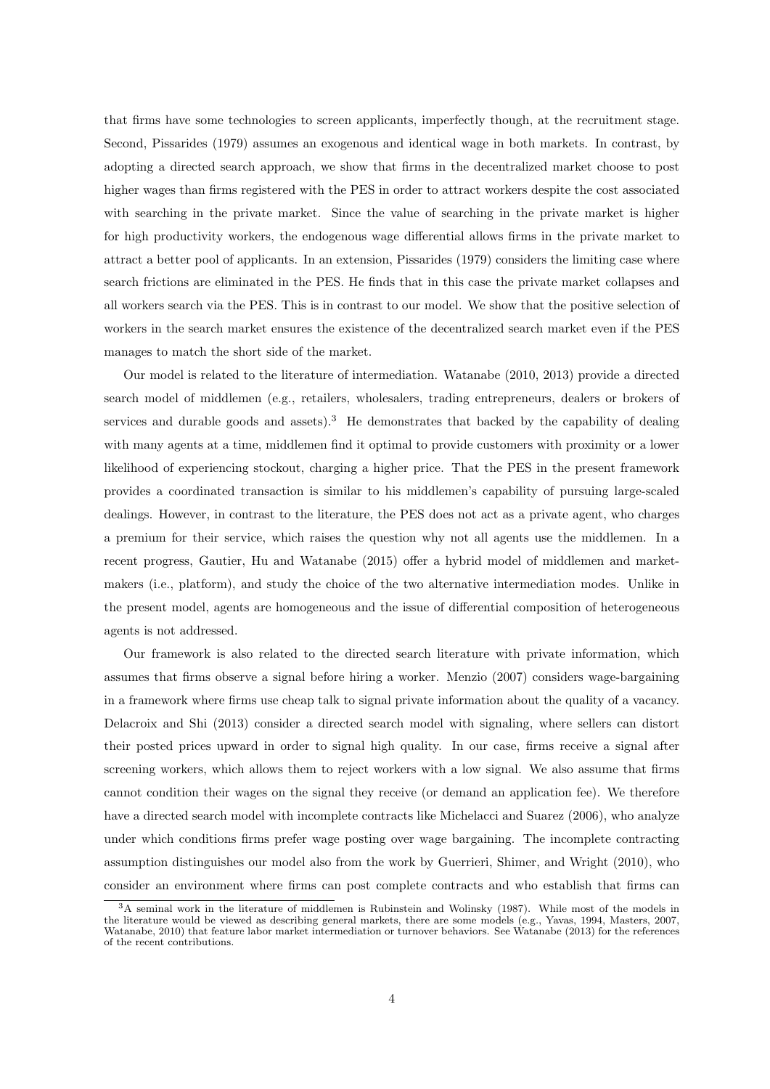that firms have some technologies to screen applicants, imperfectly though, at the recruitment stage. Second, Pissarides (1979) assumes an exogenous and identical wage in both markets. In contrast, by adopting a directed search approach, we show that firms in the decentralized market choose to post higher wages than firms registered with the PES in order to attract workers despite the cost associated with searching in the private market. Since the value of searching in the private market is higher for high productivity workers, the endogenous wage differential allows firms in the private market to attract a better pool of applicants. In an extension, Pissarides (1979) considers the limiting case where search frictions are eliminated in the PES. He finds that in this case the private market collapses and all workers search via the PES. This is in contrast to our model. We show that the positive selection of workers in the search market ensures the existence of the decentralized search market even if the PES manages to match the short side of the market.

Our model is related to the literature of intermediation. Watanabe (2010, 2013) provide a directed search model of middlemen (e.g., retailers, wholesalers, trading entrepreneurs, dealers or brokers of services and durable goods and assets).<sup>3</sup> He demonstrates that backed by the capability of dealing with many agents at a time, middlemen find it optimal to provide customers with proximity or a lower likelihood of experiencing stockout, charging a higher price. That the PES in the present framework provides a coordinated transaction is similar to his middlemen's capability of pursuing large-scaled dealings. However, in contrast to the literature, the PES does not act as a private agent, who charges a premium for their service, which raises the question why not all agents use the middlemen. In a recent progress, Gautier, Hu and Watanabe (2015) offer a hybrid model of middlemen and marketmakers (i.e., platform), and study the choice of the two alternative intermediation modes. Unlike in the present model, agents are homogeneous and the issue of differential composition of heterogeneous agents is not addressed.

Our framework is also related to the directed search literature with private information, which assumes that firms observe a signal before hiring a worker. Menzio (2007) considers wage-bargaining in a framework where firms use cheap talk to signal private information about the quality of a vacancy. Delacroix and Shi (2013) consider a directed search model with signaling, where sellers can distort their posted prices upward in order to signal high quality. In our case, firms receive a signal after screening workers, which allows them to reject workers with a low signal. We also assume that firms cannot condition their wages on the signal they receive (or demand an application fee). We therefore have a directed search model with incomplete contracts like Michelacci and Suarez (2006), who analyze under which conditions firms prefer wage posting over wage bargaining. The incomplete contracting assumption distinguishes our model also from the work by Guerrieri, Shimer, and Wright (2010), who consider an environment where firms can post complete contracts and who establish that firms can

<sup>3</sup>A seminal work in the literature of middlemen is Rubinstein and Wolinsky (1987). While most of the models in the literature would be viewed as describing general markets, there are some models (e.g., Yavas, 1994, Masters, 2007, Watanabe, 2010) that feature labor market intermediation or turnover behaviors. See Watanabe (2013) for the references of the recent contributions.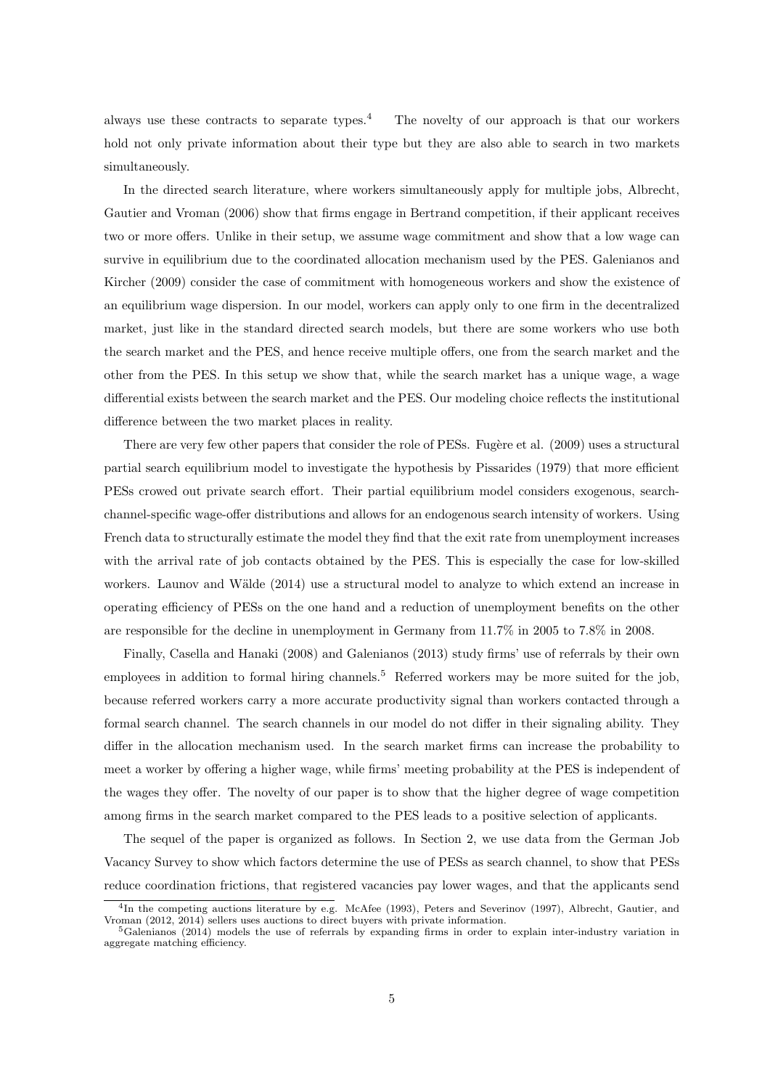always use these contracts to separate types.<sup>4</sup> The novelty of our approach is that our workers hold not only private information about their type but they are also able to search in two markets simultaneously.

In the directed search literature, where workers simultaneously apply for multiple jobs, Albrecht, Gautier and Vroman (2006) show that firms engage in Bertrand competition, if their applicant receives two or more offers. Unlike in their setup, we assume wage commitment and show that a low wage can survive in equilibrium due to the coordinated allocation mechanism used by the PES. Galenianos and Kircher (2009) consider the case of commitment with homogeneous workers and show the existence of an equilibrium wage dispersion. In our model, workers can apply only to one firm in the decentralized market, just like in the standard directed search models, but there are some workers who use both the search market and the PES, and hence receive multiple offers, one from the search market and the other from the PES. In this setup we show that, while the search market has a unique wage, a wage differential exists between the search market and the PES. Our modeling choice reflects the institutional difference between the two market places in reality.

There are very few other papers that consider the role of PESs. Fugère et al. (2009) uses a structural partial search equilibrium model to investigate the hypothesis by Pissarides (1979) that more efficient PESs crowed out private search effort. Their partial equilibrium model considers exogenous, searchchannel-specific wage-offer distributions and allows for an endogenous search intensity of workers. Using French data to structurally estimate the model they find that the exit rate from unemployment increases with the arrival rate of job contacts obtained by the PES. This is especially the case for low-skilled workers. Launov and Wälde (2014) use a structural model to analyze to which extend an increase in operating efficiency of PESs on the one hand and a reduction of unemployment benefits on the other are responsible for the decline in unemployment in Germany from 11.7% in 2005 to 7.8% in 2008.

Finally, Casella and Hanaki (2008) and Galenianos (2013) study firms' use of referrals by their own employees in addition to formal hiring channels.<sup>5</sup> Referred workers may be more suited for the job, because referred workers carry a more accurate productivity signal than workers contacted through a formal search channel. The search channels in our model do not differ in their signaling ability. They differ in the allocation mechanism used. In the search market firms can increase the probability to meet a worker by offering a higher wage, while firms' meeting probability at the PES is independent of the wages they offer. The novelty of our paper is to show that the higher degree of wage competition among firms in the search market compared to the PES leads to a positive selection of applicants.

The sequel of the paper is organized as follows. In Section 2, we use data from the German Job Vacancy Survey to show which factors determine the use of PESs as search channel, to show that PESs reduce coordination frictions, that registered vacancies pay lower wages, and that the applicants send

<sup>&</sup>lt;sup>4</sup>In the competing auctions literature by e.g. McAfee (1993), Peters and Severinov (1997), Albrecht, Gautier, and Vroman (2012, 2014) sellers uses auctions to direct buyers with private information.

<sup>5</sup>Galenianos (2014) models the use of referrals by expanding firms in order to explain inter-industry variation in aggregate matching efficiency.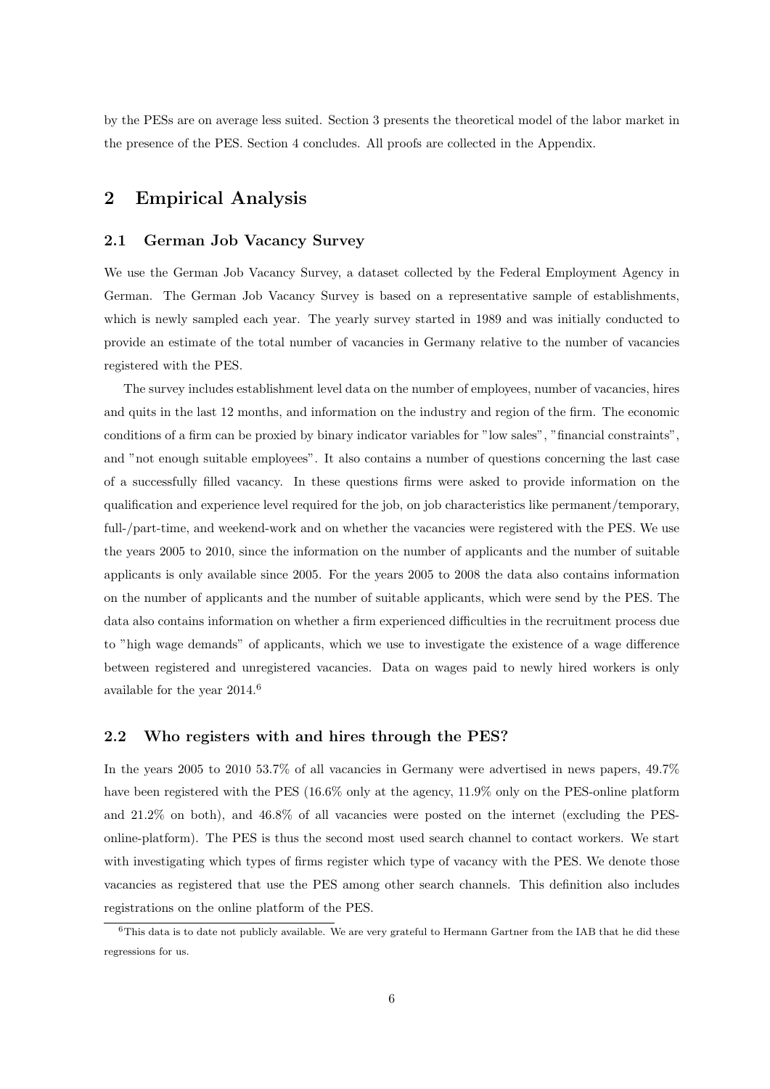by the PESs are on average less suited. Section 3 presents the theoretical model of the labor market in the presence of the PES. Section 4 concludes. All proofs are collected in the Appendix.

# 2 Empirical Analysis

## 2.1 German Job Vacancy Survey

We use the German Job Vacancy Survey, a dataset collected by the Federal Employment Agency in German. The German Job Vacancy Survey is based on a representative sample of establishments, which is newly sampled each year. The yearly survey started in 1989 and was initially conducted to provide an estimate of the total number of vacancies in Germany relative to the number of vacancies registered with the PES.

The survey includes establishment level data on the number of employees, number of vacancies, hires and quits in the last 12 months, and information on the industry and region of the firm. The economic conditions of a firm can be proxied by binary indicator variables for "low sales", "financial constraints", and "not enough suitable employees". It also contains a number of questions concerning the last case of a successfully filled vacancy. In these questions firms were asked to provide information on the qualification and experience level required for the job, on job characteristics like permanent/temporary, full-/part-time, and weekend-work and on whether the vacancies were registered with the PES. We use the years 2005 to 2010, since the information on the number of applicants and the number of suitable applicants is only available since 2005. For the years 2005 to 2008 the data also contains information on the number of applicants and the number of suitable applicants, which were send by the PES. The data also contains information on whether a firm experienced difficulties in the recruitment process due to "high wage demands" of applicants, which we use to investigate the existence of a wage difference between registered and unregistered vacancies. Data on wages paid to newly hired workers is only available for the year 2014.<sup>6</sup>

#### 2.2 Who registers with and hires through the PES?

In the years 2005 to 2010 53.7% of all vacancies in Germany were advertised in news papers, 49.7% have been registered with the PES (16.6% only at the agency, 11.9% only on the PES-online platform and 21.2% on both), and 46.8% of all vacancies were posted on the internet (excluding the PESonline-platform). The PES is thus the second most used search channel to contact workers. We start with investigating which types of firms register which type of vacancy with the PES. We denote those vacancies as registered that use the PES among other search channels. This definition also includes registrations on the online platform of the PES.

 $6$ This data is to date not publicly available. We are very grateful to Hermann Gartner from the IAB that he did these regressions for us.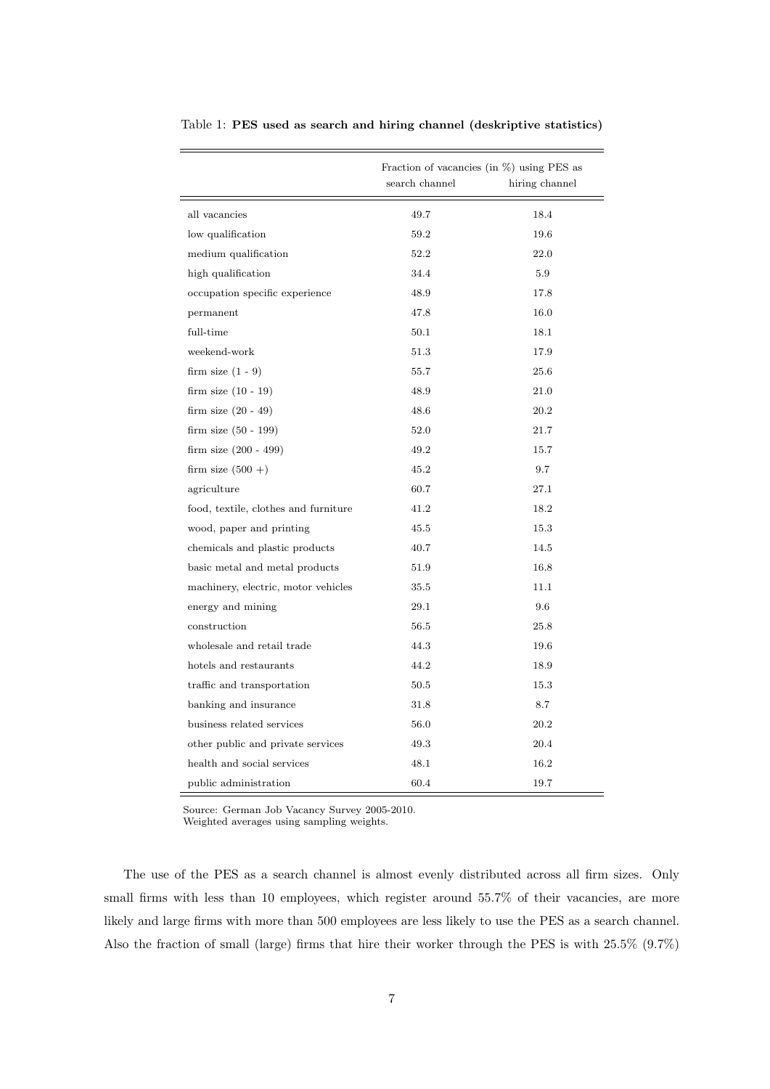|                                      | Fraction of vacancies (in $\%$ ) using PES as<br>search channel<br>hiring channel |      |  |  |
|--------------------------------------|-----------------------------------------------------------------------------------|------|--|--|
| all vacancies                        | 49.7                                                                              | 18.4 |  |  |
| low qualification                    | 59.2                                                                              | 19.6 |  |  |
| medium qualification                 | 52.2                                                                              | 22.0 |  |  |
| high qualification                   | 34.4                                                                              | 5.9  |  |  |
| occupation specific experience       | 48.9                                                                              | 17.8 |  |  |
| permanent                            | 47.8                                                                              | 16.0 |  |  |
| full-time                            | 50.1                                                                              | 18.1 |  |  |
| weekend-work                         | 51.3                                                                              | 17.9 |  |  |
| firm size $(1 - 9)$                  | 55.7                                                                              | 25.6 |  |  |
| firm size $(10 - 19)$                | 48.9                                                                              | 21.0 |  |  |
| firm size $(20 - 49)$                | 48.6                                                                              | 20.2 |  |  |
| firm size (50 - 199)                 | 52.0                                                                              | 21.7 |  |  |
| firm size $(200 - 499)$              | 49.2                                                                              | 15.7 |  |  |
| firm size $(500 + )$                 | 45.2                                                                              | 9.7  |  |  |
| agriculture                          | 60.7                                                                              | 27.1 |  |  |
| food, textile, clothes and furniture | 41.2                                                                              | 18.2 |  |  |
| wood, paper and printing             | 45.5                                                                              | 15.3 |  |  |
| chemicals and plastic products       | 40.7                                                                              | 14.5 |  |  |
| basic metal and metal products       | 51.9                                                                              | 16.8 |  |  |
| machinery, electric, motor vehicles  | 35.5                                                                              | 11.1 |  |  |
| energy and mining                    | 29.1                                                                              | 9.6  |  |  |
| construction                         | 56.5                                                                              | 25.8 |  |  |
| wholesale and retail trade           | 44.3                                                                              | 19.6 |  |  |
| hotels and restaurants               | 44.2                                                                              | 18.9 |  |  |
| traffic and transportation           | 50.5                                                                              | 15.3 |  |  |
| banking and insurance                | 31.8                                                                              | 8.7  |  |  |
| business related services            | 56.0                                                                              | 20.2 |  |  |
| other public and private services    | 49.3                                                                              | 20.4 |  |  |
| health and social services           | 48.1                                                                              | 16.2 |  |  |
| public administration                | 60.4                                                                              | 19.7 |  |  |

Table 1: PES used as search and hiring channel (deskriptive statistics)

Source: German Job Vacancy Survey 2005-2010.

Weighted averages using sampling weights.

The use of the PES as a search channel is almost evenly distributed across all firm sizes. Only small firms with less than 10 employees, which register around 55.7% of their vacancies, are more likely and large firms with more than 500 employees are less likely to use the PES as a search channel. Also the fraction of small (large) firms that hire their worker through the PES is with 25.5% (9.7%)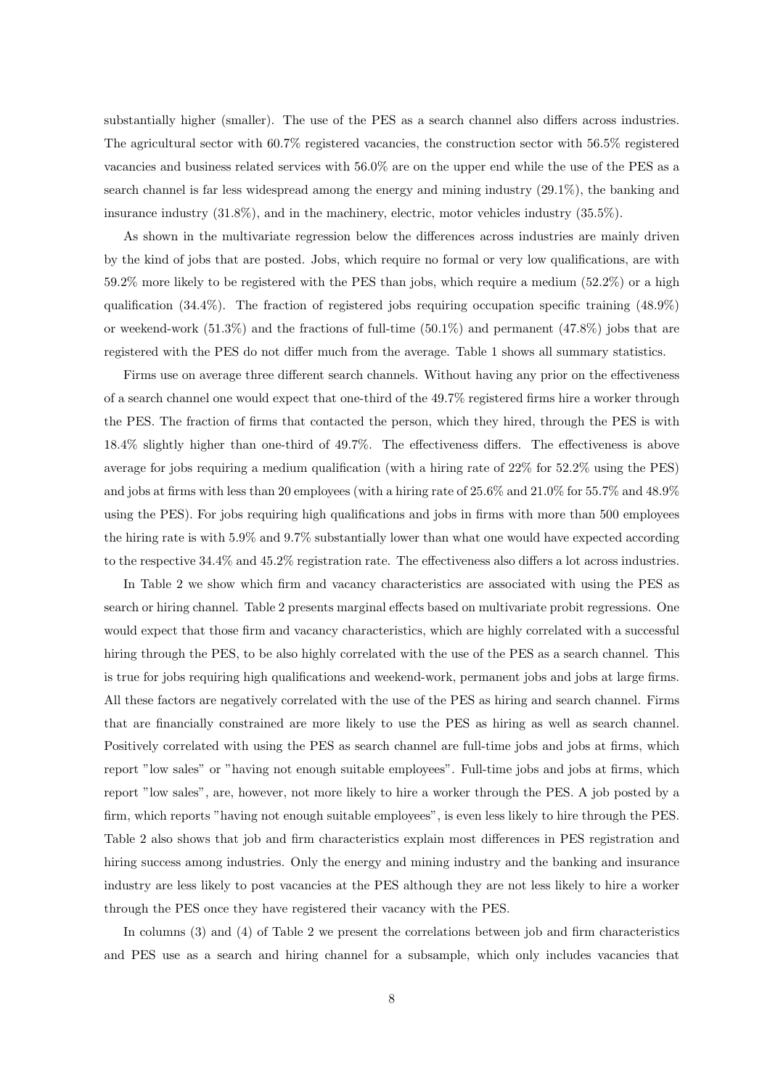substantially higher (smaller). The use of the PES as a search channel also differs across industries. The agricultural sector with 60.7% registered vacancies, the construction sector with 56.5% registered vacancies and business related services with 56.0% are on the upper end while the use of the PES as a search channel is far less widespread among the energy and mining industry (29.1%), the banking and insurance industry (31.8%), and in the machinery, electric, motor vehicles industry (35.5%).

As shown in the multivariate regression below the differences across industries are mainly driven by the kind of jobs that are posted. Jobs, which require no formal or very low qualifications, are with 59.2% more likely to be registered with the PES than jobs, which require a medium (52.2%) or a high qualification  $(34.4\%)$ . The fraction of registered jobs requiring occupation specific training  $(48.9\%)$ or weekend-work  $(51.3\%)$  and the fractions of full-time  $(50.1\%)$  and permanent  $(47.8\%)$  jobs that are registered with the PES do not differ much from the average. Table 1 shows all summary statistics.

Firms use on average three different search channels. Without having any prior on the effectiveness of a search channel one would expect that one-third of the 49.7% registered firms hire a worker through the PES. The fraction of firms that contacted the person, which they hired, through the PES is with 18.4% slightly higher than one-third of 49.7%. The effectiveness differs. The effectiveness is above average for jobs requiring a medium qualification (with a hiring rate of 22% for 52.2% using the PES) and jobs at firms with less than 20 employees (with a hiring rate of 25.6% and 21.0% for 55.7% and 48.9% using the PES). For jobs requiring high qualifications and jobs in firms with more than 500 employees the hiring rate is with 5.9% and 9.7% substantially lower than what one would have expected according to the respective 34.4% and 45.2% registration rate. The effectiveness also differs a lot across industries.

In Table 2 we show which firm and vacancy characteristics are associated with using the PES as search or hiring channel. Table 2 presents marginal effects based on multivariate probit regressions. One would expect that those firm and vacancy characteristics, which are highly correlated with a successful hiring through the PES, to be also highly correlated with the use of the PES as a search channel. This is true for jobs requiring high qualifications and weekend-work, permanent jobs and jobs at large firms. All these factors are negatively correlated with the use of the PES as hiring and search channel. Firms that are financially constrained are more likely to use the PES as hiring as well as search channel. Positively correlated with using the PES as search channel are full-time jobs and jobs at firms, which report "low sales" or "having not enough suitable employees". Full-time jobs and jobs at firms, which report "low sales", are, however, not more likely to hire a worker through the PES. A job posted by a firm, which reports "having not enough suitable employees", is even less likely to hire through the PES. Table 2 also shows that job and firm characteristics explain most differences in PES registration and hiring success among industries. Only the energy and mining industry and the banking and insurance industry are less likely to post vacancies at the PES although they are not less likely to hire a worker through the PES once they have registered their vacancy with the PES.

In columns (3) and (4) of Table 2 we present the correlations between job and firm characteristics and PES use as a search and hiring channel for a subsample, which only includes vacancies that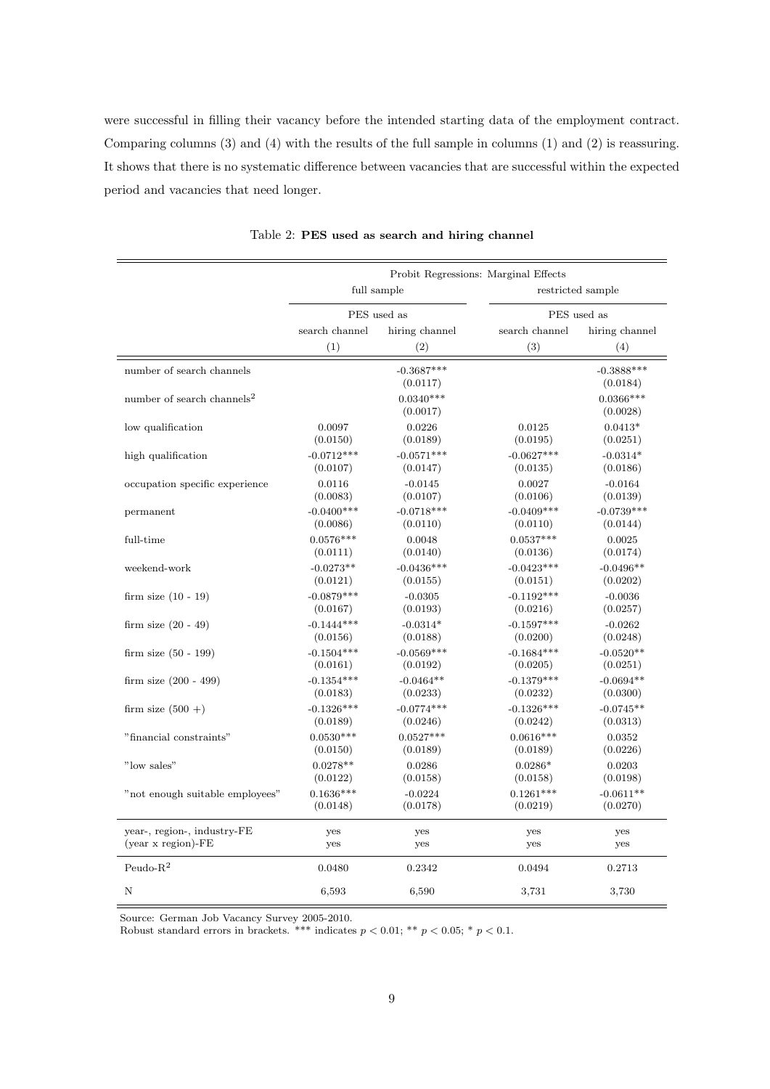were successful in filling their vacancy before the intended starting data of the employment contract. Comparing columns (3) and (4) with the results of the full sample in columns (1) and (2) is reassuring. It shows that there is no systematic difference between vacancies that are successful within the expected period and vacancies that need longer.

|                                                     |                                                      |                          | Probit Regressions: Marginal Effects |                          |
|-----------------------------------------------------|------------------------------------------------------|--------------------------|--------------------------------------|--------------------------|
|                                                     | full sample                                          |                          |                                      | restricted sample        |
|                                                     |                                                      | PES used as              |                                      | PES used as              |
|                                                     | search channel                                       | hiring channel           | search channel                       | hiring channel           |
|                                                     | (1)                                                  | (2)                      | (3)                                  | (4)                      |
| number of search channels                           | $-0.3687***$<br>(0.0117)                             |                          |                                      | $-0.3888***$<br>(0.0184) |
| number of search channels <sup>2</sup>              |                                                      | $0.0340***$<br>(0.0017)  |                                      | $0.0366***$<br>(0.0028)  |
| low qualification                                   | 0.0097<br>(0.0150)                                   | 0.0226<br>(0.0189)       | 0.0125<br>(0.0195)                   | $0.0413*$<br>(0.0251)    |
| high qualification                                  | $-0.0712***$<br>(0.0107)                             | $-0.0571***$<br>(0.0147) | $-0.0627***$<br>(0.0135)             | $-0.0314*$<br>(0.0186)   |
| occupation specific experience                      | $-0.0145$<br>0.0116<br>(0.0083)<br>(0.0107)          |                          | 0.0027<br>(0.0106)                   | $-0.0164$<br>(0.0139)    |
| permanent                                           | $-0.0400***$<br>$-0.0718***$<br>(0.0086)<br>(0.0110) |                          | $-0.0409***$<br>(0.0110)             | $-0.0739***$<br>(0.0144) |
| full-time                                           | $0.0576***$<br>0.0048<br>(0.0111)<br>(0.0140)        |                          | $0.0537***$<br>(0.0136)              | 0.0025<br>(0.0174)       |
| weekend-work                                        | $-0.0273**$<br>$-0.0436***$<br>(0.0121)<br>(0.0155)  |                          | $-0.0423***$<br>(0.0151)             | $-0.0496**$<br>(0.0202)  |
| firm size $(10 - 19)$                               | $-0.0879***$<br>(0.0167)                             | $-0.0305$<br>(0.0193)    | $-0.1192***$<br>(0.0216)             | $-0.0036$<br>(0.0257)    |
| firm size $(20 - 49)$                               | $-0.1444***$<br>(0.0156)                             | $-0.0314*$<br>(0.0188)   | $-0.1597***$<br>(0.0200)             | $-0.0262$<br>(0.0248)    |
| firm size $(50 - 199)$                              | $-0.1504***$<br>(0.0161)                             | $-0.0569***$<br>(0.0192) | $-0.1684***$<br>(0.0205)             | $-0.0520**$<br>(0.0251)  |
| firm size $(200 - 499)$                             | $-0.1354***$<br>(0.0183)                             | $-0.0464**$<br>(0.0233)  | $-0.1379***$<br>(0.0232)             | $-0.0694**$<br>(0.0300)  |
| firm size $(500 +)$                                 | $-0.1326***$<br>(0.0189)                             | $-0.0774***$<br>(0.0246) | $-0.1326***$<br>(0.0242)             | $-0.0745**$<br>(0.0313)  |
| "financial constraints"                             | $0.0530***$<br>(0.0150)                              | $0.0527***$<br>(0.0189)  | $0.0616***$<br>(0.0189)              | 0.0352<br>(0.0226)       |
| "low sales"                                         | $0.0278**$<br>(0.0122)                               | 0.0286<br>(0.0158)       | $0.0286*$<br>(0.0158)                | 0.0203<br>(0.0198)       |
| "not enough suitable employees"                     | $0.1636***$<br>(0.0148)                              | $-0.0224$<br>(0.0178)    | $0.1261***$<br>(0.0219)              | $-0.0611**$<br>(0.0270)  |
| year-, region-, industry-FE<br>$(year x region)-FE$ | yes<br>yes                                           | yes<br>yes               | yes<br>yes                           | yes<br>yes               |
| Peudo- $R^2$                                        | 0.0480                                               | 0.2342                   | 0.0494                               | 0.2713                   |
| Ν                                                   | 6,593                                                | 6,590                    | 3,731                                | 3,730                    |

Table 2: PES used as search and hiring channel

Source: German Job Vacancy Survey 2005-2010.

Robust standard errors in brackets. \*\*\* indicates  $p < 0.01$ ; \*\*  $p < 0.05$ ; \*  $p < 0.1$ .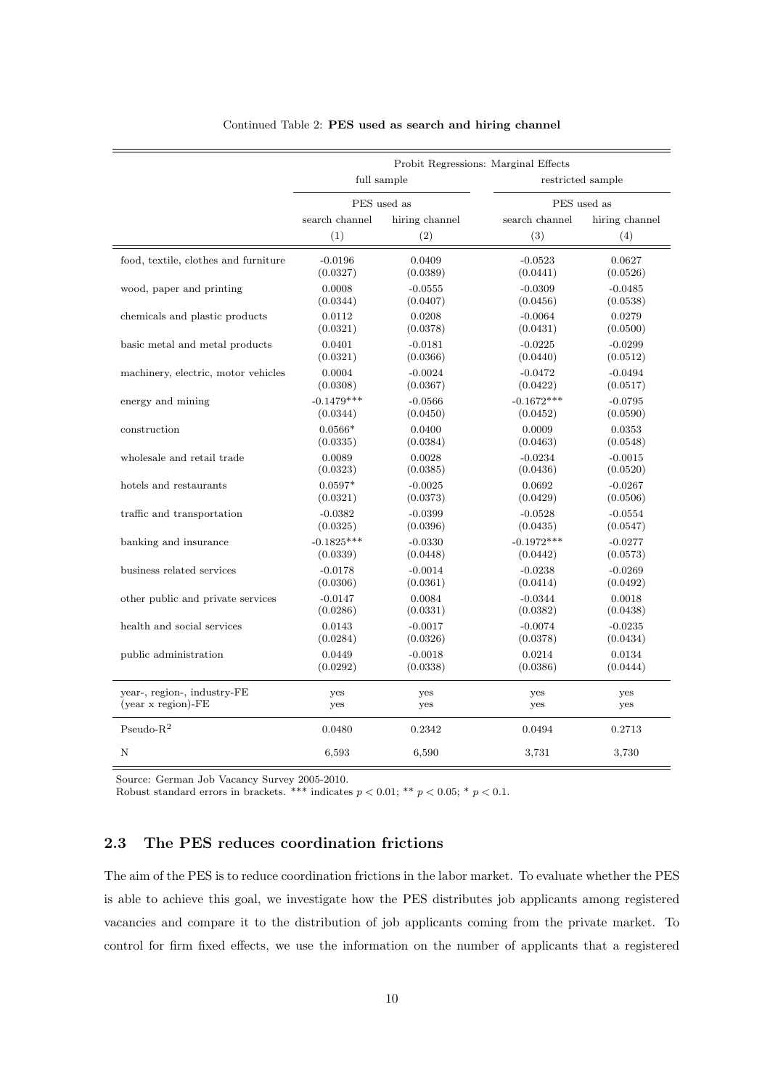|                                      | Probit Regressions: Marginal Effects |                |                |                   |  |
|--------------------------------------|--------------------------------------|----------------|----------------|-------------------|--|
|                                      |                                      | full sample    |                | restricted sample |  |
|                                      |                                      | PES used as    |                | PES used as       |  |
|                                      | search channel                       | hiring channel | search channel | hiring channel    |  |
|                                      | (1)                                  | (2)            | (3)            | (4)               |  |
| food, textile, clothes and furniture | $-0.0196$                            | 0.0409         | $-0.0523$      | 0.0627            |  |
|                                      | (0.0327)                             | (0.0389)       | (0.0441)       | (0.0526)          |  |
| wood, paper and printing             | 0.0008                               | $-0.0555$      | $-0.0309$      | $-0.0485$         |  |
|                                      | (0.0344)                             | (0.0407)       | (0.0456)       | (0.0538)          |  |
| chemicals and plastic products       | 0.0112                               | 0.0208         | $-0.0064$      | 0.0279            |  |
|                                      | (0.0321)                             | (0.0378)       | (0.0431)       | (0.0500)          |  |
| basic metal and metal products       | 0.0401                               | $-0.0181$      | $-0.0225$      | $-0.0299$         |  |
|                                      | (0.0321)                             | (0.0366)       | (0.0440)       | (0.0512)          |  |
| machinery, electric, motor vehicles  | 0.0004                               | $-0.0024$      | $-0.0472$      | $-0.0494$         |  |
|                                      | (0.0308)                             | (0.0367)       | (0.0422)       | (0.0517)          |  |
| energy and mining                    | $-0.1479***$                         | $-0.0566$      | $-0.1672***$   | $-0.0795$         |  |
|                                      | (0.0344)                             | (0.0450)       | (0.0452)       | (0.0590)          |  |
| construction                         | $0.0566*$                            | 0.0400         | 0.0009         | 0.0353            |  |
|                                      | (0.0335)                             | (0.0384)       | (0.0463)       | (0.0548)          |  |
| wholesale and retail trade           | 0.0089                               | 0.0028         | $-0.0234$      | $-0.0015$         |  |
|                                      | (0.0323)                             | (0.0385)       | (0.0436)       | (0.0520)          |  |
| hotels and restaurants               | $0.0597*$                            | $-0.0025$      | 0.0692         | $-0.0267$         |  |
|                                      | (0.0321)                             | (0.0373)       | (0.0429)       | (0.0506)          |  |
| traffic and transportation           | $-0.0382$                            | $-0.0399$      | $-0.0528$      | $-0.0554$         |  |
|                                      | (0.0325)                             | (0.0396)       | (0.0435)       | (0.0547)          |  |
| banking and insurance                | $-0.1825***$                         | $-0.0330$      | $-0.1972***$   | $-0.0277$         |  |
|                                      | (0.0339)                             | (0.0448)       | (0.0442)       | (0.0573)          |  |
| business related services            | $-0.0178$                            | $-0.0014$      | $-0.0238$      | $-0.0269$         |  |
|                                      | (0.0306)                             | (0.0361)       | (0.0414)       | (0.0492)          |  |
| other public and private services    | $-0.0147$                            | 0.0084         | $-0.0344$      | 0.0018            |  |
|                                      | (0.0286)                             | (0.0331)       | (0.0382)       | (0.0438)          |  |
| health and social services           | 0.0143                               | $-0.0017$      | $-0.0074$      | $-0.0235$         |  |
|                                      | (0.0284)                             | (0.0326)       | (0.0378)       | (0.0434)          |  |
| public administration                | 0.0449                               | $-0.0018$      | 0.0214         | 0.0134            |  |
|                                      | (0.0292)                             | (0.0338)       | (0.0386)       | (0.0444)          |  |
| year-, region-, industry-FE          | yes                                  | yes            | yes            | yes               |  |
| $(year x region)$ -FE                | yes                                  | yes            | yes            | yes               |  |
| $\mbox{Pseudo-R}^2$                  | 0.0480                               | 0.2342         | 0.0494         | 0.2713            |  |
| N                                    | 6,593                                | 6,590          | 3,731          | 3,730             |  |

#### Continued Table 2: PES used as search and hiring channel

Source: German Job Vacancy Survey 2005-2010.

Robust standard errors in brackets. \*\*\* indicates  $p < 0.01$ ; \*\*  $p < 0.05$ ; \*  $p < 0.1$ .

## 2.3 The PES reduces coordination frictions

The aim of the PES is to reduce coordination frictions in the labor market. To evaluate whether the PES is able to achieve this goal, we investigate how the PES distributes job applicants among registered vacancies and compare it to the distribution of job applicants coming from the private market. To control for firm fixed effects, we use the information on the number of applicants that a registered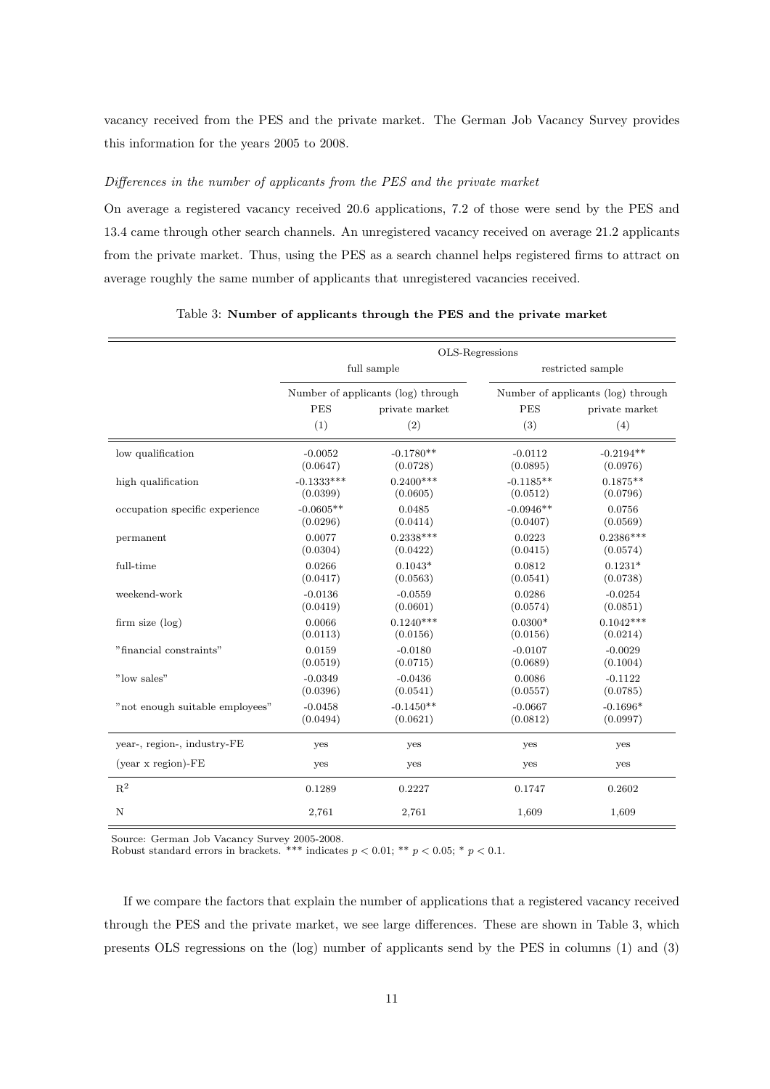vacancy received from the PES and the private market. The German Job Vacancy Survey provides this information for the years 2005 to 2008.

#### Differences in the number of applicants from the PES and the private market

On average a registered vacancy received 20.6 applications, 7.2 of those were send by the PES and 13.4 came through other search channels. An unregistered vacancy received on average 21.2 applicants from the private market. Thus, using the PES as a search channel helps registered firms to attract on average roughly the same number of applicants that unregistered vacancies received.

|                                 | OLS-Regressions                               |                                    |                         |                                    |
|---------------------------------|-----------------------------------------------|------------------------------------|-------------------------|------------------------------------|
|                                 |                                               | full sample                        |                         | restricted sample                  |
|                                 |                                               | Number of applicants (log) through |                         | Number of applicants (log) through |
|                                 | <b>PES</b>                                    | private market                     | <b>PES</b>              | private market                     |
|                                 | (1)                                           | (2)                                | (3)                     | (4)                                |
| low qualification               | $-0.0052$<br>(0.0647)                         | $-0.1780**$<br>(0.0728)            | $-0.0112$<br>(0.0895)   | $-0.2194**$<br>(0.0976)            |
| high qualification              | $-0.1333***$<br>(0.0399)                      | $0.2400***$<br>(0.0605)            | $-0.1185**$<br>(0.0512) | $0.1875**$<br>(0.0796)             |
| occupation specific experience  | $-0.0605**$<br>(0.0296)                       | 0.0485<br>(0.0414)                 | $-0.0946**$<br>(0.0407) | 0.0756<br>(0.0569)                 |
| permanent                       | $0.2338***$<br>0.0077<br>(0.0304)<br>(0.0422) |                                    | 0.0223<br>(0.0415)      | $0.2386***$<br>(0.0574)            |
| full-time                       | 0.0266<br>(0.0417)                            | $0.1043*$<br>(0.0563)              | 0.0812<br>(0.0541)      | $0.1231*$<br>(0.0738)              |
| weekend-work                    | $-0.0136$<br>(0.0419)                         | $-0.0559$<br>(0.0601)              | 0.0286<br>(0.0574)      | $-0.0254$<br>(0.0851)              |
| firm size $(\log)$              | 0.0066<br>(0.0113)                            | $0.1240***$<br>(0.0156)            | $0.0300*$<br>(0.0156)   | $0.1042***$<br>(0.0214)            |
| "financial constraints"         | 0.0159<br>(0.0519)                            | $-0.0180$<br>(0.0715)              | $-0.0107$<br>(0.0689)   | $-0.0029$<br>(0.1004)              |
| "low sales"                     | $-0.0349$<br>(0.0396)                         | $-0.0436$<br>(0.0541)              | 0.0086<br>(0.0557)      | $-0.1122$<br>(0.0785)              |
| "not enough suitable employees" | $-0.0458$<br>(0.0494)                         | $-0.1450**$<br>(0.0621)            | $-0.0667$<br>(0.0812)   | $-0.1696*$<br>(0.0997)             |
| year-, region-, industry-FE     | yes                                           | yes                                | yes                     | yes                                |
| $(year x region)-FE$            | yes                                           | yes                                | yes                     | yes                                |
| $\mathbf{R}^2$                  | 0.1289                                        | 0.2227                             | 0.1747                  | 0.2602                             |
| N                               | 2,761                                         | 2,761                              | 1,609                   | 1,609                              |

#### Table 3: Number of applicants through the PES and the private market

Source: German Job Vacancy Survey 2005-2008.

Robust standard errors in brackets. \*\*\* indicates  $p < 0.01$ ; \*\*  $p < 0.05$ ; \*  $p < 0.1$ .

If we compare the factors that explain the number of applications that a registered vacancy received through the PES and the private market, we see large differences. These are shown in Table 3, which presents OLS regressions on the (log) number of applicants send by the PES in columns (1) and (3)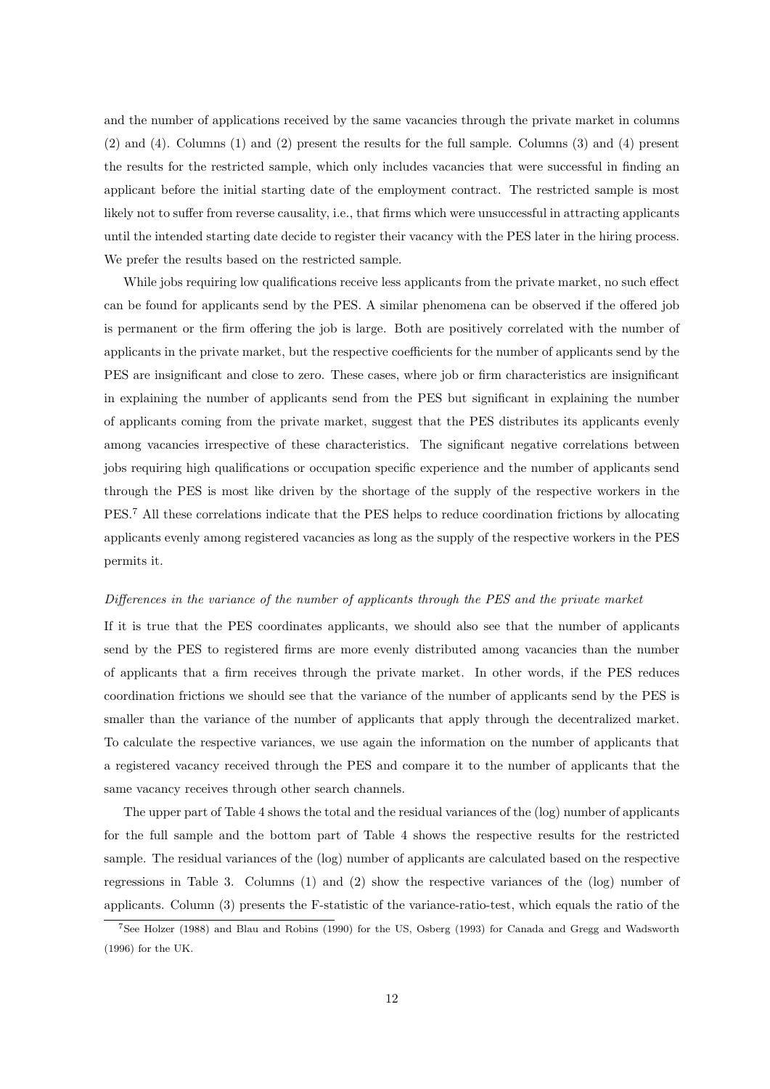and the number of applications received by the same vacancies through the private market in columns (2) and (4). Columns (1) and (2) present the results for the full sample. Columns (3) and (4) present the results for the restricted sample, which only includes vacancies that were successful in finding an applicant before the initial starting date of the employment contract. The restricted sample is most likely not to suffer from reverse causality, i.e., that firms which were unsuccessful in attracting applicants until the intended starting date decide to register their vacancy with the PES later in the hiring process. We prefer the results based on the restricted sample.

While jobs requiring low qualifications receive less applicants from the private market, no such effect can be found for applicants send by the PES. A similar phenomena can be observed if the offered job is permanent or the firm offering the job is large. Both are positively correlated with the number of applicants in the private market, but the respective coefficients for the number of applicants send by the PES are insignificant and close to zero. These cases, where job or firm characteristics are insignificant in explaining the number of applicants send from the PES but significant in explaining the number of applicants coming from the private market, suggest that the PES distributes its applicants evenly among vacancies irrespective of these characteristics. The significant negative correlations between jobs requiring high qualifications or occupation specific experience and the number of applicants send through the PES is most like driven by the shortage of the supply of the respective workers in the PES.<sup>7</sup> All these correlations indicate that the PES helps to reduce coordination frictions by allocating applicants evenly among registered vacancies as long as the supply of the respective workers in the PES permits it.

#### Differences in the variance of the number of applicants through the PES and the private market

If it is true that the PES coordinates applicants, we should also see that the number of applicants send by the PES to registered firms are more evenly distributed among vacancies than the number of applicants that a firm receives through the private market. In other words, if the PES reduces coordination frictions we should see that the variance of the number of applicants send by the PES is smaller than the variance of the number of applicants that apply through the decentralized market. To calculate the respective variances, we use again the information on the number of applicants that a registered vacancy received through the PES and compare it to the number of applicants that the same vacancy receives through other search channels.

The upper part of Table 4 shows the total and the residual variances of the (log) number of applicants for the full sample and the bottom part of Table 4 shows the respective results for the restricted sample. The residual variances of the (log) number of applicants are calculated based on the respective regressions in Table 3. Columns (1) and (2) show the respective variances of the (log) number of applicants. Column (3) presents the F-statistic of the variance-ratio-test, which equals the ratio of the

<sup>7</sup>See Holzer (1988) and Blau and Robins (1990) for the US, Osberg (1993) for Canada and Gregg and Wadsworth (1996) for the UK.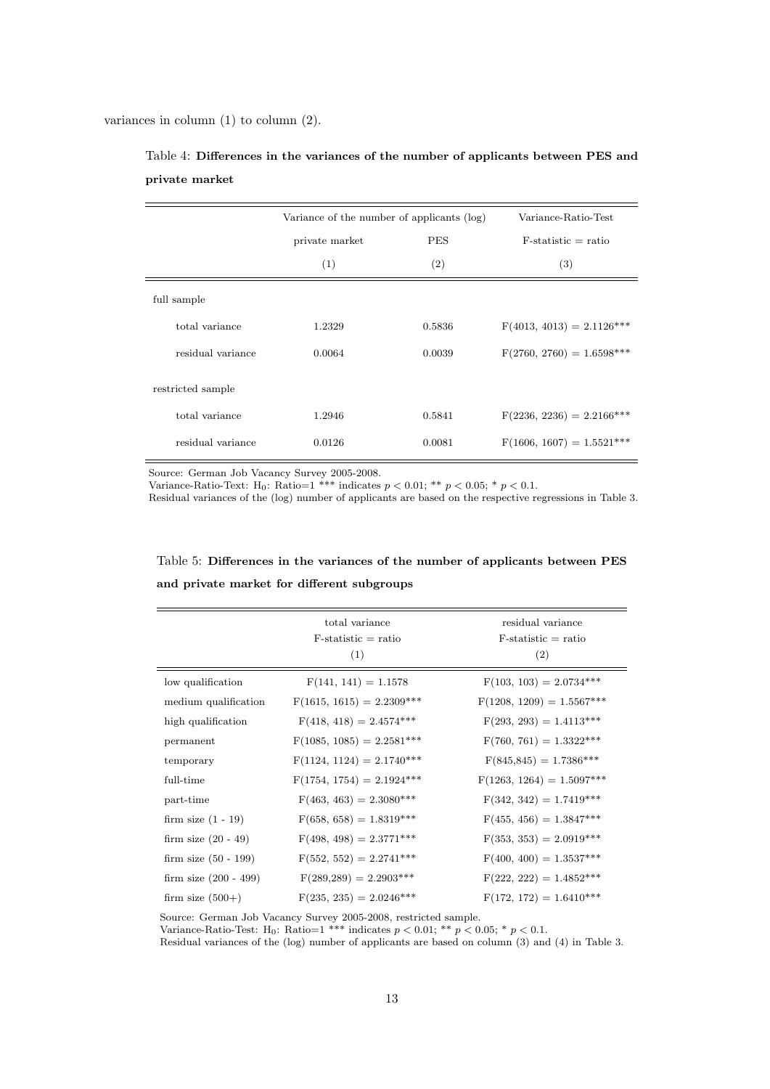variances in column (1) to column (2).

|                   |                | Variance of the number of applicants (log) |                             |  |
|-------------------|----------------|--------------------------------------------|-----------------------------|--|
|                   | private market | <b>PES</b>                                 |                             |  |
|                   | (1)            | (2)                                        | $\left( 3\right)$           |  |
| full sample       |                |                                            |                             |  |
| total variance    | 1.2329         | 0.5836                                     | $F(4013, 4013) = 2.1126***$ |  |
| residual variance | 0.0064         | 0.0039                                     | $F(2760, 2760) = 1.6598***$ |  |
| restricted sample |                |                                            |                             |  |
| total variance    | 1.2946         | 0.5841                                     | $F(2236, 2236) = 2.2166***$ |  |
| residual variance | 0.0126         | 0.0081                                     | $F(1606, 1607) = 1.5521***$ |  |

Table 4: Differences in the variances of the number of applicants between PES and private market

Source: German Job Vacancy Survey 2005-2008.

Variance-Ratio-Text: H<sub>0</sub>: Ratio=1 \*\*\* indicates  $p < 0.01$ ; \*\*  $p < 0.05$ ; \*  $p < 0.1$ .

Residual variances of the (log) number of applicants are based on the respective regressions in Table 3.

|                         | total variance<br>$F-statistic = ratio$<br>(1) | residual variance<br>$F-statistic = ratio$<br>(2) |
|-------------------------|------------------------------------------------|---------------------------------------------------|
| low qualification       | $F(141, 141) = 1.1578$                         | $F(103, 103) = 2.0734***$                         |
| medium qualification    | $F(1615, 1615) = 2.2309***$                    | $F(1208, 1209) = 1.5567***$                       |
| high qualification      | $F(418, 418) = 2.4574***$                      | $F(293, 293) = 1.4113***$                         |
| permanent               | $F(1085, 1085) = 2.2581***$                    | $F(760, 761) = 1.3322***$                         |
| temporary               | $F(1124, 1124) = 2.1740***$                    | $F(845,845) = 1.7386***$                          |
| full-time               | $F(1754, 1754) = 2.1924***$                    | $F(1263, 1264) = 1.5097***$                       |
| part-time               | $F(463, 463) = 2.3080***$                      | $F(342, 342) = 1.7419***$                         |
| firm size $(1 - 19)$    | $F(658, 658) = 1.8319***$                      | $F(455, 456) = 1.3847***$                         |
| firm size $(20 - 49)$   | $F(498, 498) = 2.3771***$                      | $F(353, 353) = 2.0919***$                         |
| firm size $(50 - 199)$  | $F(552, 552) = 2.2741***$                      | $F(400, 400) = 1.3537***$                         |
| firm size $(200 - 499)$ | $F(289,289) = 2.2903***$                       | $F(222, 222) = 1.4852***$                         |
| firm size $(500+)$      | $F(235, 235) = 2.0246***$                      | $F(172, 172) = 1.6410***$                         |

Table 5: Differences in the variances of the number of applicants between PES and private market for different subgroups

Source: German Job Vacancy Survey 2005-2008, restricted sample.

Variance-Ratio-Test: H<sub>0</sub>: Ratio=1 \*\*\* indicates  $p < 0.01$ ; \*\*  $p < 0.05$ ; \*  $p < 0.1$ .

Residual variances of the (log) number of applicants are based on column (3) and (4) in Table 3.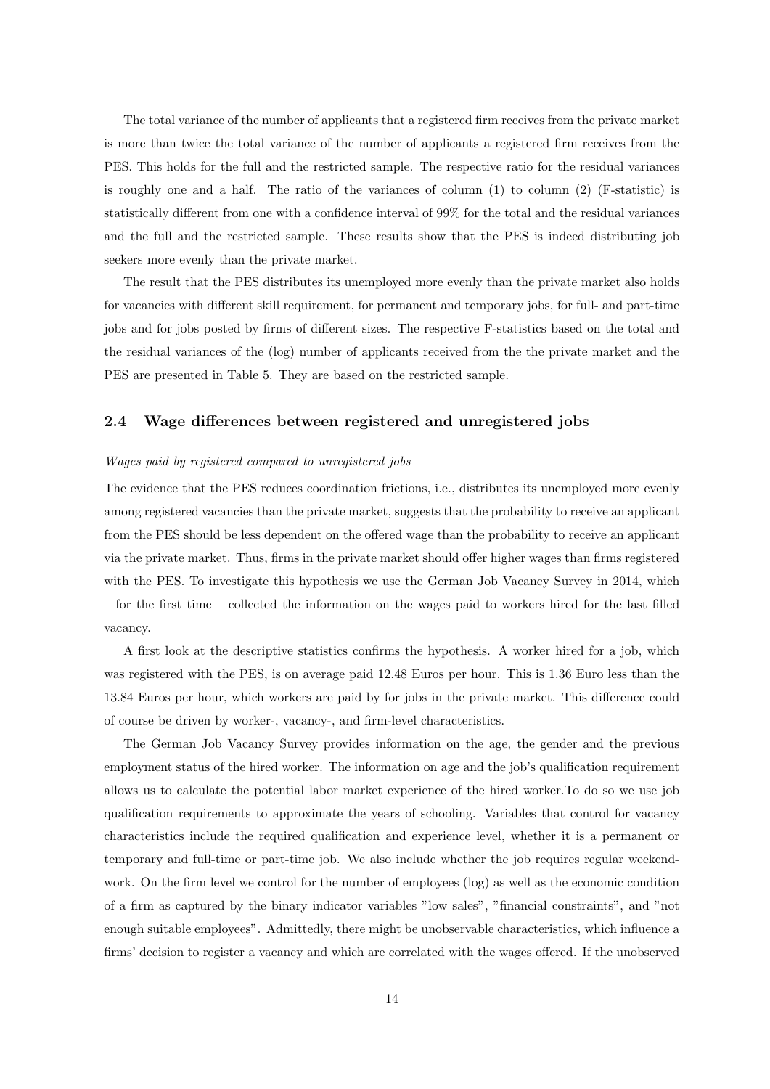The total variance of the number of applicants that a registered firm receives from the private market is more than twice the total variance of the number of applicants a registered firm receives from the PES. This holds for the full and the restricted sample. The respective ratio for the residual variances is roughly one and a half. The ratio of the variances of column  $(1)$  to column  $(2)$  (F-statistic) is statistically different from one with a confidence interval of 99% for the total and the residual variances and the full and the restricted sample. These results show that the PES is indeed distributing job seekers more evenly than the private market.

The result that the PES distributes its unemployed more evenly than the private market also holds for vacancies with different skill requirement, for permanent and temporary jobs, for full- and part-time jobs and for jobs posted by firms of different sizes. The respective F-statistics based on the total and the residual variances of the (log) number of applicants received from the the private market and the PES are presented in Table 5. They are based on the restricted sample.

## 2.4 Wage differences between registered and unregistered jobs

#### Wages paid by registered compared to unregistered jobs

The evidence that the PES reduces coordination frictions, i.e., distributes its unemployed more evenly among registered vacancies than the private market, suggests that the probability to receive an applicant from the PES should be less dependent on the offered wage than the probability to receive an applicant via the private market. Thus, firms in the private market should offer higher wages than firms registered with the PES. To investigate this hypothesis we use the German Job Vacancy Survey in 2014, which – for the first time – collected the information on the wages paid to workers hired for the last filled vacancy.

A first look at the descriptive statistics confirms the hypothesis. A worker hired for a job, which was registered with the PES, is on average paid 12.48 Euros per hour. This is 1.36 Euro less than the 13.84 Euros per hour, which workers are paid by for jobs in the private market. This difference could of course be driven by worker-, vacancy-, and firm-level characteristics.

The German Job Vacancy Survey provides information on the age, the gender and the previous employment status of the hired worker. The information on age and the job's qualification requirement allows us to calculate the potential labor market experience of the hired worker.To do so we use job qualification requirements to approximate the years of schooling. Variables that control for vacancy characteristics include the required qualification and experience level, whether it is a permanent or temporary and full-time or part-time job. We also include whether the job requires regular weekendwork. On the firm level we control for the number of employees (log) as well as the economic condition of a firm as captured by the binary indicator variables "low sales", "financial constraints", and "not enough suitable employees". Admittedly, there might be unobservable characteristics, which influence a firms' decision to register a vacancy and which are correlated with the wages offered. If the unobserved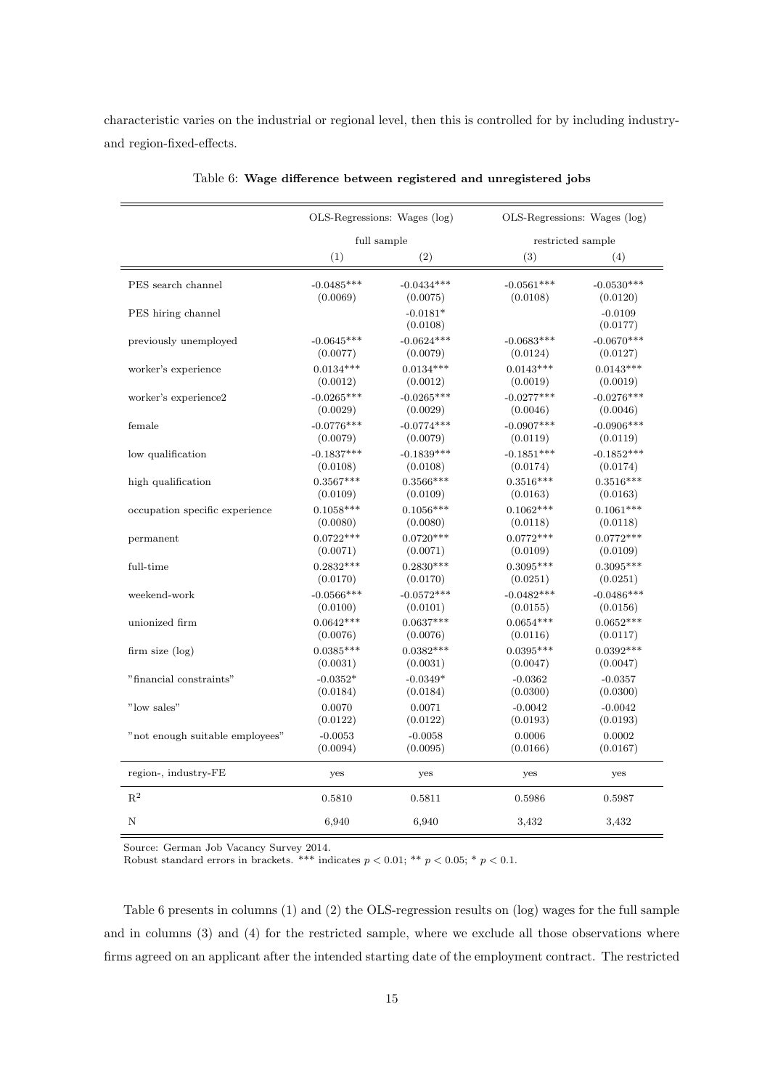characteristic varies on the industrial or regional level, then this is controlled for by including industryand region-fixed-effects.

|                                 |              | OLS-Regressions: Wages (log) |              | $OLS$ -Regressions: Wages $(log)$ |  |
|---------------------------------|--------------|------------------------------|--------------|-----------------------------------|--|
|                                 | full sample  |                              |              | restricted sample                 |  |
|                                 | (1)          | (2)                          | (3)          | (4)                               |  |
| PES search channel              | $-0.0485***$ | $-0.0434***$                 | $-0.0561***$ | $-0.0530***$                      |  |
|                                 | (0.0069)     | (0.0075)                     | (0.0108)     | (0.0120)                          |  |
| PES hiring channel              |              | $-0.0181*$<br>(0.0108)       |              | $-0.0109$<br>(0.0177)             |  |
| previously unemployed           | $-0.0645***$ | $-0.0624***$                 | $-0.0683***$ | $-0.0670***$                      |  |
|                                 | (0.0077)     | (0.0079)                     | (0.0124)     | (0.0127)                          |  |
| worker's experience             | $0.0134***$  | $0.0134***$                  | $0.0143***$  | $0.0143***$                       |  |
|                                 | (0.0012)     | (0.0012)                     | (0.0019)     | (0.0019)                          |  |
| worker's experience2            | $-0.0265***$ | $-0.0265***$                 | $-0.0277***$ | $-0.0276***$                      |  |
|                                 | (0.0029)     | (0.0029)                     | (0.0046)     | (0.0046)                          |  |
| female                          | $-0.0776***$ | $-0.0774***$                 | $-0.0907***$ | $-0.0906***$                      |  |
|                                 | (0.0079)     | (0.0079)                     | (0.0119)     | (0.0119)                          |  |
| low qualification               | $-0.1837***$ | $-0.1839***$                 | $-0.1851***$ | $-0.1852***$                      |  |
|                                 | (0.0108)     | (0.0108)                     | (0.0174)     | (0.0174)                          |  |
| high qualification              | $0.3567***$  | $0.3566***$                  | $0.3516***$  | $0.3516***$                       |  |
|                                 | (0.0109)     | (0.0109)                     | (0.0163)     | (0.0163)                          |  |
| occupation specific experience  | $0.1058***$  | $0.1056***$                  | $0.1062***$  | $0.1061***$                       |  |
|                                 | (0.0080)     | (0.0080)                     | (0.0118)     | (0.0118)                          |  |
| permanent                       | $0.0722***$  | $0.0720***$                  | $0.0772***$  | $0.0772***$                       |  |
|                                 | (0.0071)     | (0.0071)                     | (0.0109)     | (0.0109)                          |  |
| full-time                       | $0.2832***$  | $0.2830***$                  | $0.3095***$  | $0.3095***$                       |  |
|                                 | (0.0170)     | (0.0170)                     | (0.0251)     | (0.0251)                          |  |
| weekend-work                    | $-0.0566***$ | $-0.0572***$                 | $-0.0482***$ | $-0.0486***$                      |  |
|                                 | (0.0100)     | (0.0101)                     | (0.0155)     | (0.0156)                          |  |
| unionized firm                  | $0.0642***$  | $0.0637***$                  | $0.0654***$  | $0.0652***$                       |  |
|                                 | (0.0076)     | (0.0076)                     | (0.0116)     | (0.0117)                          |  |
| firm size $(\log)$              | $0.0385***$  | $0.0382***$                  | $0.0395***$  | $0.0392***$                       |  |
|                                 | (0.0031)     | (0.0031)                     | (0.0047)     | (0.0047)                          |  |
| $"$ financial constraints $"$   | $-0.0352*$   | $-0.0349*$                   | $-0.0362$    | $-0.0357$                         |  |
|                                 | (0.0184)     | (0.0184)                     | (0.0300)     | (0.0300)                          |  |
| "low sales"                     | 0.0070       | 0.0071                       | $-0.0042$    | $-0.0042$                         |  |
|                                 | (0.0122)     | (0.0122)                     | (0.0193)     | (0.0193)                          |  |
| "not enough suitable employees" | $-0.0053$    | $-0.0058$                    | 0.0006       | 0.0002                            |  |
|                                 | (0.0094)     | (0.0095)                     | (0.0166)     | (0.0167)                          |  |
| region-, industry-FE            | yes          | yes                          | yes          | yes                               |  |
| $\mathbf{R}^2$                  | 0.5810       | 0.5811                       | 0.5986       | 0.5987                            |  |
| N                               | 6,940        | 6,940                        | 3,432        | 3,432                             |  |

Table 6: Wage difference between registered and unregistered jobs

Source: German Job Vacancy Survey 2014.

Robust standard errors in brackets. \*\*\* indicates  $p < 0.01$ ; \*\*  $p < 0.05$ ; \*  $p < 0.1$ .

Table 6 presents in columns (1) and (2) the OLS-regression results on (log) wages for the full sample and in columns (3) and (4) for the restricted sample, where we exclude all those observations where firms agreed on an applicant after the intended starting date of the employment contract. The restricted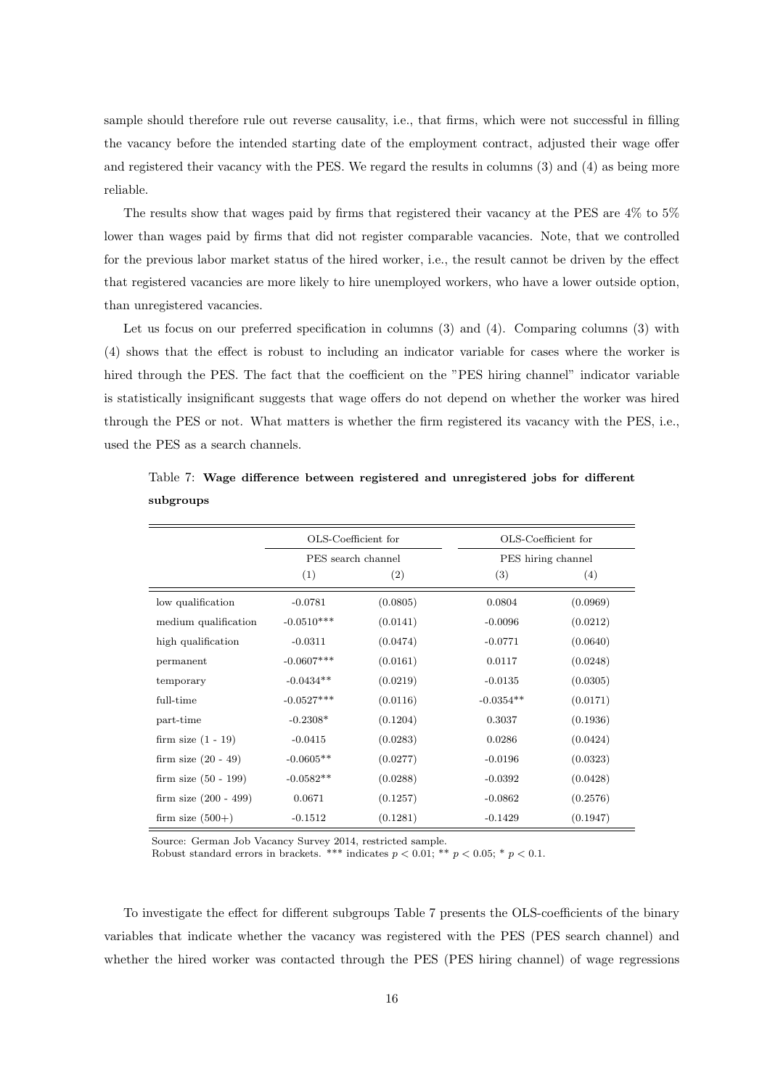sample should therefore rule out reverse causality, i.e., that firms, which were not successful in filling the vacancy before the intended starting date of the employment contract, adjusted their wage offer and registered their vacancy with the PES. We regard the results in columns (3) and (4) as being more reliable.

The results show that wages paid by firms that registered their vacancy at the PES are 4% to 5% lower than wages paid by firms that did not register comparable vacancies. Note, that we controlled for the previous labor market status of the hired worker, i.e., the result cannot be driven by the effect that registered vacancies are more likely to hire unemployed workers, who have a lower outside option, than unregistered vacancies.

Let us focus on our preferred specification in columns (3) and (4). Comparing columns (3) with (4) shows that the effect is robust to including an indicator variable for cases where the worker is hired through the PES. The fact that the coefficient on the "PES hiring channel" indicator variable is statistically insignificant suggests that wage offers do not depend on whether the worker was hired through the PES or not. What matters is whether the firm registered its vacancy with the PES, i.e., used the PES as a search channels.

|                         | OLS-Coefficient for |          | OLS-Coefficient for |          |
|-------------------------|---------------------|----------|---------------------|----------|
|                         | PES search channel  |          | PES hiring channel  |          |
|                         | (1)                 | (2)      | (3)                 | (4)      |
| low qualification       | $-0.0781$           | (0.0805) | 0.0804              | (0.0969) |
| medium qualification    | $-0.0510***$        | (0.0141) | $-0.0096$           | (0.0212) |
| high qualification      | $-0.0311$           | (0.0474) | $-0.0771$           | (0.0640) |
| permanent               | $-0.0607***$        | (0.0161) | 0.0117              | (0.0248) |
| temporary               | $-0.0434**$         | (0.0219) | $-0.0135$           | (0.0305) |
| full-time               | $-0.0527***$        | (0.0116) | $-0.0354**$         | (0.0171) |
| part-time               | $-0.2308*$          | (0.1204) | 0.3037              | (0.1936) |
| firm size $(1 - 19)$    | $-0.0415$           | (0.0283) | 0.0286              | (0.0424) |
| firm size $(20 - 49)$   | $-0.0605**$         | (0.0277) | $-0.0196$           | (0.0323) |
| firm size $(50 - 199)$  | $-0.0582**$         | (0.0288) | $-0.0392$           | (0.0428) |
| firm size $(200 - 499)$ | 0.0671              | (0.1257) | $-0.0862$           | (0.2576) |
| firm size $(500+)$      | $-0.1512$           | (0.1281) | $-0.1429$           | (0.1947) |

Table 7: Wage difference between registered and unregistered jobs for different subgroups

Source: German Job Vacancy Survey 2014, restricted sample.

Robust standard errors in brackets. \*\*\* indicates  $p < 0.01$ ; \*\*  $p < 0.05$ ; \*  $p < 0.1$ .

To investigate the effect for different subgroups Table 7 presents the OLS-coefficients of the binary variables that indicate whether the vacancy was registered with the PES (PES search channel) and whether the hired worker was contacted through the PES (PES hiring channel) of wage regressions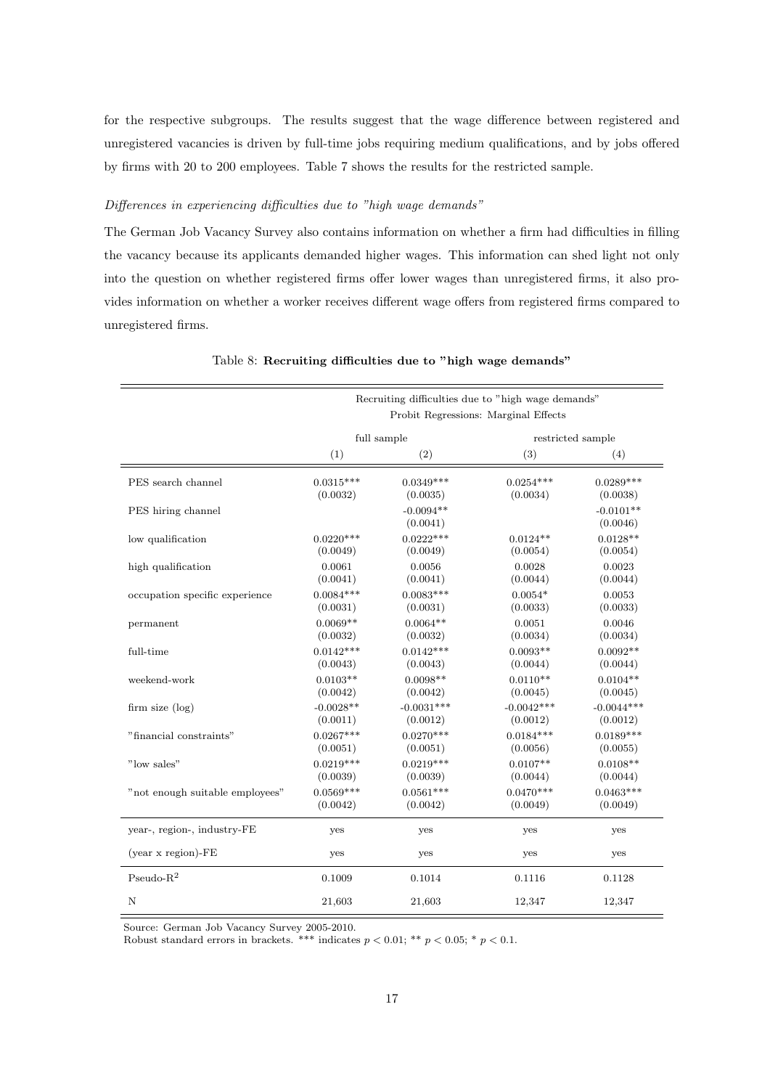for the respective subgroups. The results suggest that the wage difference between registered and unregistered vacancies is driven by full-time jobs requiring medium qualifications, and by jobs offered by firms with 20 to 200 employees. Table 7 shows the results for the restricted sample.

#### Differences in experiencing difficulties due to "high wage demands"

The German Job Vacancy Survey also contains information on whether a firm had difficulties in filling the vacancy because its applicants demanded higher wages. This information can shed light not only into the question on whether registered firms offer lower wages than unregistered firms, it also provides information on whether a worker receives different wage offers from registered firms compared to unregistered firms.

|                                 | Recruiting difficulties due to "high wage demands" |                         |              |                         |  |
|---------------------------------|----------------------------------------------------|-------------------------|--------------|-------------------------|--|
|                                 | Probit Regressions: Marginal Effects               |                         |              |                         |  |
|                                 | full sample                                        |                         |              | restricted sample       |  |
|                                 | (1)                                                | (2)                     | (3)          | (4)                     |  |
| PES search channel              | $0.0315***$                                        | $0.0349***$             | $0.0254***$  | $0.0289***$             |  |
|                                 | (0.0032)                                           | (0.0035)                | (0.0034)     | (0.0038)                |  |
| PES hiring channel              |                                                    | $-0.0094**$<br>(0.0041) |              | $-0.0101**$<br>(0.0046) |  |
| low qualification               | $0.0220***$                                        | $0.0222***$             | $0.0124**$   | $0.0128**$              |  |
|                                 | (0.0049)                                           | (0.0049)                | (0.0054)     | (0.0054)                |  |
| high qualification              | 0.0061                                             | 0.0056                  | 0.0028       | 0.0023                  |  |
|                                 | (0.0041)                                           | (0.0041)                | (0.0044)     | (0.0044)                |  |
| occupation specific experience  | $0.0084***$                                        | $0.0083***$             | $0.0054*$    | 0.0053                  |  |
|                                 | (0.0031)                                           | (0.0031)                | (0.0033)     | (0.0033)                |  |
| permanent                       | $0.0069**$                                         | $0.0064**$              | 0.0051       | 0.0046                  |  |
|                                 | (0.0032)                                           | (0.0032)                | (0.0034)     | (0.0034)                |  |
| full-time                       | $0.0142***$                                        | $0.0142***$             | $0.0093**$   | $0.0092**$              |  |
|                                 | (0.0043)                                           | (0.0043)                | (0.0044)     | (0.0044)                |  |
| weekend-work                    | $0.0103**$                                         | $0.0098**$              | $0.0110**$   | $0.0104**$              |  |
|                                 | (0.0042)                                           | (0.0042)                | (0.0045)     | (0.0045)                |  |
| firm size (log)                 | $-0.0028**$                                        | $-0.0031***$            | $-0.0042***$ | $-0.0044***$            |  |
|                                 | (0.0011)                                           | (0.0012)                | (0.0012)     | (0.0012)                |  |
| "financial constraints"         | $0.0267***$                                        | $0.0270***$             | $0.0184***$  | $0.0189***$             |  |
|                                 | (0.0051)                                           | (0.0051)                | (0.0056)     | (0.0055)                |  |
| "low sales"                     | $0.0219***$                                        | $0.0219***$             | $0.0107**$   | $0.0108**$              |  |
|                                 | (0.0039)                                           | (0.0039)                | (0.0044)     | (0.0044)                |  |
| "not enough suitable employees" | $0.0569***$                                        | $0.0561***$             | $0.0470***$  | $0.0463***$             |  |
|                                 | (0.0042)                                           | (0.0042)                | (0.0049)     | (0.0049)                |  |
| year-, region-, industry-FE     | yes                                                | yes                     | yes          | yes                     |  |
| $(year x region)-FE$            | yes                                                | yes                     | yes          | yes                     |  |
| Pseudo- $R^2$                   | 0.1009                                             | 0.1014                  | 0.1116       | 0.1128                  |  |
| N                               | 21,603                                             | 21,603                  | 12,347       | 12,347                  |  |

Table 8: Recruiting difficulties due to "high wage demands"

Source: German Job Vacancy Survey 2005-2010.

Robust standard errors in brackets. \*\*\* indicates  $p < 0.01$ ; \*\*  $p < 0.05$ ; \*  $p < 0.1$ .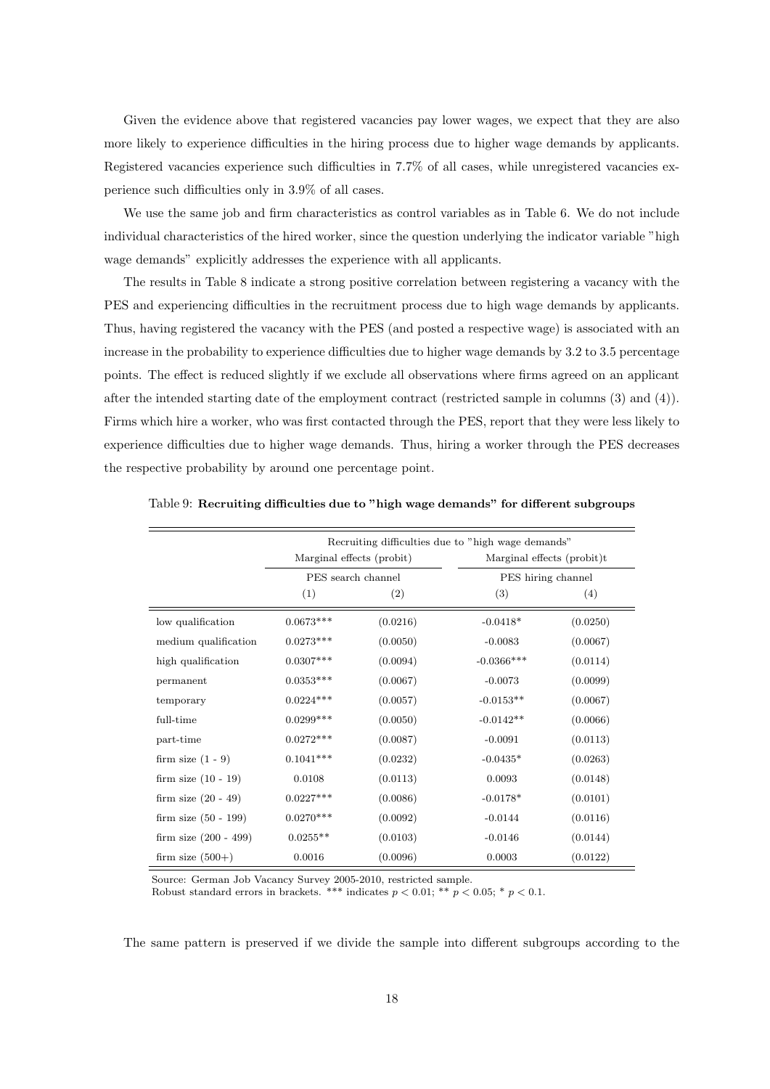Given the evidence above that registered vacancies pay lower wages, we expect that they are also more likely to experience difficulties in the hiring process due to higher wage demands by applicants. Registered vacancies experience such difficulties in 7.7% of all cases, while unregistered vacancies experience such difficulties only in 3.9% of all cases.

We use the same job and firm characteristics as control variables as in Table 6. We do not include individual characteristics of the hired worker, since the question underlying the indicator variable "high wage demands" explicitly addresses the experience with all applicants.

The results in Table 8 indicate a strong positive correlation between registering a vacancy with the PES and experiencing difficulties in the recruitment process due to high wage demands by applicants. Thus, having registered the vacancy with the PES (and posted a respective wage) is associated with an increase in the probability to experience difficulties due to higher wage demands by 3.2 to 3.5 percentage points. The effect is reduced slightly if we exclude all observations where firms agreed on an applicant after the intended starting date of the employment contract (restricted sample in columns (3) and (4)). Firms which hire a worker, who was first contacted through the PES, report that they were less likely to experience difficulties due to higher wage demands. Thus, hiring a worker through the PES decreases the respective probability by around one percentage point.

|                         | Recruiting difficulties due to "high wage demands" |          |                            |          |  |
|-------------------------|----------------------------------------------------|----------|----------------------------|----------|--|
|                         | Marginal effects (probit)                          |          | Marginal effects (probit)t |          |  |
|                         | PES search channel                                 |          | PES hiring channel         |          |  |
|                         | (1)                                                | (2)      | (3)                        | (4)      |  |
| low qualification       | $0.0673***$                                        | (0.0216) | $-0.0418*$                 | (0.0250) |  |
| medium qualification    | $0.0273***$                                        | (0.0050) | $-0.0083$                  | (0.0067) |  |
| high qualification      | $0.0307***$                                        | (0.0094) | $-0.0366***$               | (0.0114) |  |
| permanent               | $0.0353***$                                        | (0.0067) | $-0.0073$                  | (0.0099) |  |
| temporary               | $0.0224***$                                        | (0.0057) | $-0.0153**$                | (0.0067) |  |
| full-time               | $0.0299***$                                        | (0.0050) | $-0.0142**$                | (0.0066) |  |
| part-time               | $0.0272***$                                        | (0.0087) | $-0.0091$                  | (0.0113) |  |
| firm size $(1 - 9)$     | $0.1041***$                                        | (0.0232) | $-0.0435*$                 | (0.0263) |  |
| firm size $(10 - 19)$   | 0.0108                                             | (0.0113) | 0.0093                     | (0.0148) |  |
| firm size $(20 - 49)$   | $0.0227***$                                        | (0.0086) | $-0.0178*$                 | (0.0101) |  |
| firm size $(50 - 199)$  | $0.0270***$                                        | (0.0092) | $-0.0144$                  | (0.0116) |  |
| firm size $(200 - 499)$ | $0.0255**$                                         | (0.0103) | $-0.0146$                  | (0.0144) |  |
| firm size $(500+)$      | 0.0016                                             | (0.0096) | 0.0003                     | (0.0122) |  |

Table 9: Recruiting difficulties due to "high wage demands" for different subgroups

Source: German Job Vacancy Survey 2005-2010, restricted sample.

Robust standard errors in brackets. \*\*\* indicates  $p < 0.01$ ; \*\*  $p < 0.05$ ; \*  $p < 0.1$ .

The same pattern is preserved if we divide the sample into different subgroups according to the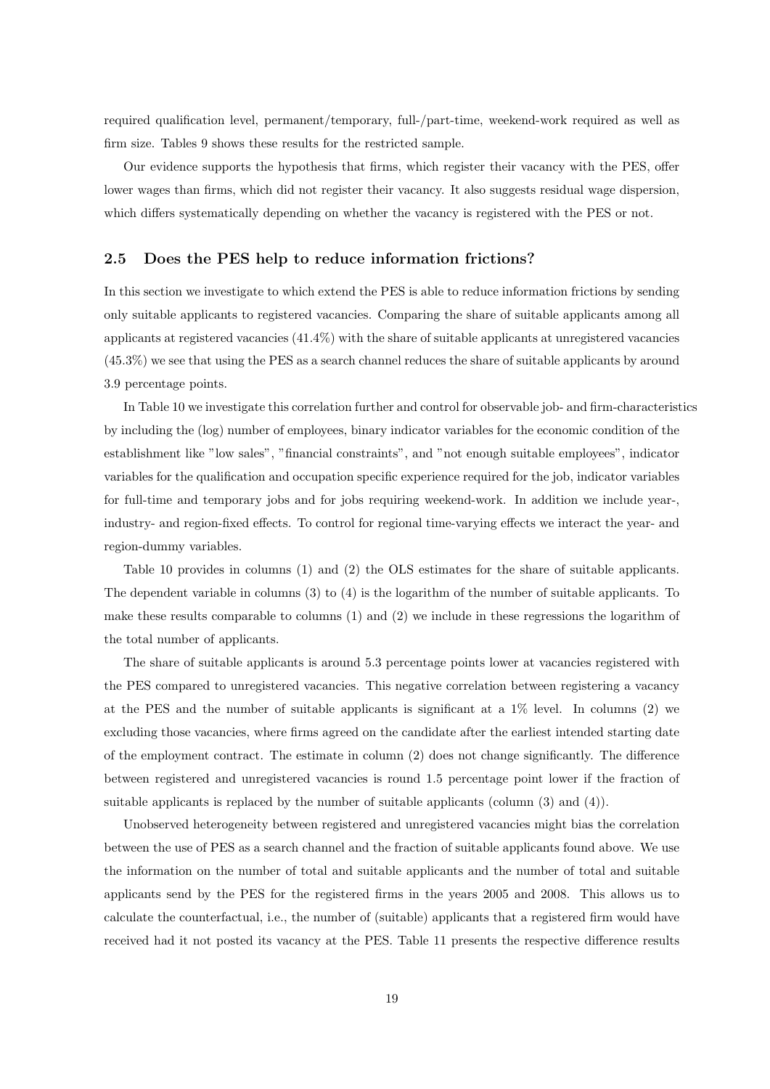required qualification level, permanent/temporary, full-/part-time, weekend-work required as well as firm size. Tables 9 shows these results for the restricted sample.

Our evidence supports the hypothesis that firms, which register their vacancy with the PES, offer lower wages than firms, which did not register their vacancy. It also suggests residual wage dispersion, which differs systematically depending on whether the vacancy is registered with the PES or not.

#### 2.5 Does the PES help to reduce information frictions?

In this section we investigate to which extend the PES is able to reduce information frictions by sending only suitable applicants to registered vacancies. Comparing the share of suitable applicants among all applicants at registered vacancies (41.4%) with the share of suitable applicants at unregistered vacancies (45.3%) we see that using the PES as a search channel reduces the share of suitable applicants by around 3.9 percentage points.

In Table 10 we investigate this correlation further and control for observable job- and firm-characteristics by including the (log) number of employees, binary indicator variables for the economic condition of the establishment like "low sales", "financial constraints", and "not enough suitable employees", indicator variables for the qualification and occupation specific experience required for the job, indicator variables for full-time and temporary jobs and for jobs requiring weekend-work. In addition we include year-, industry- and region-fixed effects. To control for regional time-varying effects we interact the year- and region-dummy variables.

Table 10 provides in columns (1) and (2) the OLS estimates for the share of suitable applicants. The dependent variable in columns (3) to (4) is the logarithm of the number of suitable applicants. To make these results comparable to columns (1) and (2) we include in these regressions the logarithm of the total number of applicants.

The share of suitable applicants is around 5.3 percentage points lower at vacancies registered with the PES compared to unregistered vacancies. This negative correlation between registering a vacancy at the PES and the number of suitable applicants is significant at a 1% level. In columns (2) we excluding those vacancies, where firms agreed on the candidate after the earliest intended starting date of the employment contract. The estimate in column (2) does not change significantly. The difference between registered and unregistered vacancies is round 1.5 percentage point lower if the fraction of suitable applicants is replaced by the number of suitable applicants (column (3) and (4)).

Unobserved heterogeneity between registered and unregistered vacancies might bias the correlation between the use of PES as a search channel and the fraction of suitable applicants found above. We use the information on the number of total and suitable applicants and the number of total and suitable applicants send by the PES for the registered firms in the years 2005 and 2008. This allows us to calculate the counterfactual, i.e., the number of (suitable) applicants that a registered firm would have received had it not posted its vacancy at the PES. Table 11 presents the respective difference results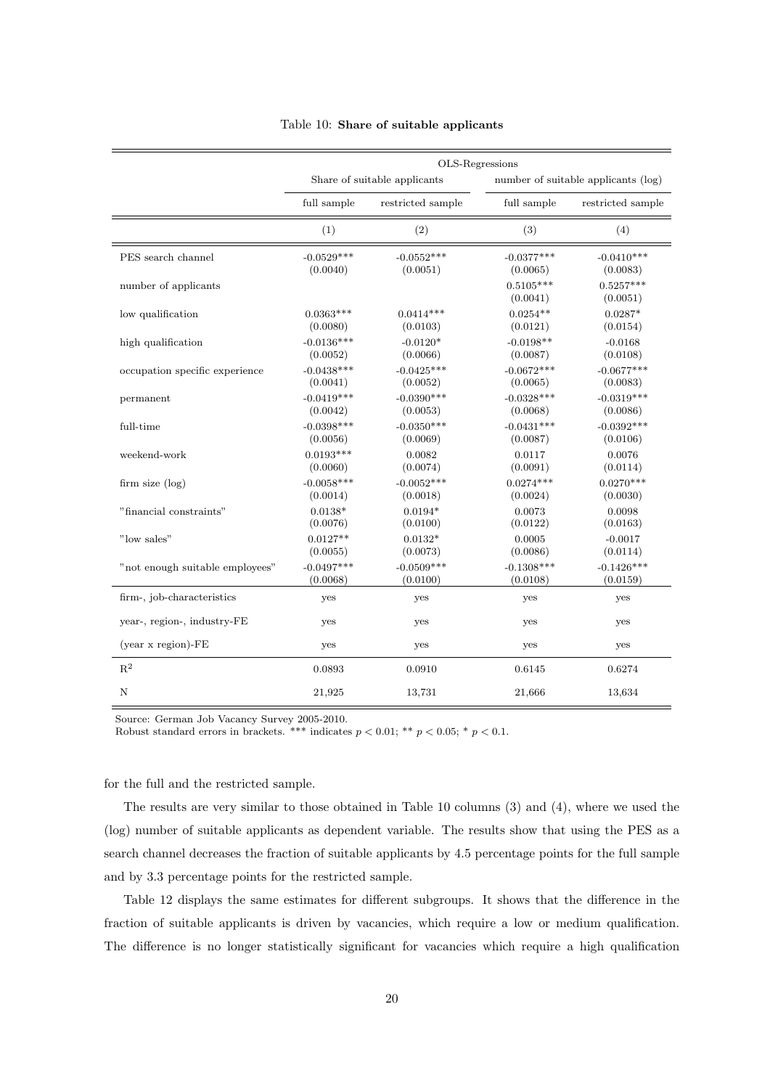|                                 | OLS-Regressions |                              |                         |                                     |  |
|---------------------------------|-----------------|------------------------------|-------------------------|-------------------------------------|--|
|                                 |                 | Share of suitable applicants |                         | number of suitable applicants (log) |  |
|                                 | full sample     | restricted sample            | full sample             | restricted sample                   |  |
|                                 | (1)             | (2)                          | (3)                     | (4)                                 |  |
| PES search channel              | $-0.0529***$    | $-0.0552***$                 | $-0.0377***$            | $-0.0410***$                        |  |
|                                 | (0.0040)        | (0.0051)                     | (0.0065)                | (0.0083)                            |  |
| number of applicants            |                 |                              | $0.5105***$<br>(0.0041) | $0.5257***$<br>(0.0051)             |  |
| low qualification               | $0.0363***$     | $0.0414***$                  | $0.0254**$              | $0.0287*$                           |  |
|                                 | (0.0080)        | (0.0103)                     | (0.0121)                | (0.0154)                            |  |
| high qualification              | $-0.0136***$    | $-0.0120*$                   | $-0.0198**$             | $-0.0168$                           |  |
|                                 | (0.0052)        | (0.0066)                     | (0.0087)                | (0.0108)                            |  |
| occupation specific experience  | $-0.0438***$    | $-0.0425***$                 |                         | $-0.0677***$                        |  |
|                                 | (0.0041)        | (0.0052)                     |                         | (0.0083)                            |  |
| permanent                       | $-0.0419***$    | $-0.0390***$                 | $-0.0328***$            | $-0.0319***$                        |  |
|                                 | (0.0042)        | (0.0053)                     | (0.0068)                | (0.0086)                            |  |
| full-time                       | $-0.0398***$    | $-0.0350***$                 | $-0.0431***$            | $-0.0392***$                        |  |
|                                 | (0.0056)        | (0.0069)                     | (0.0087)                | (0.0106)                            |  |
| weekend-work                    | $0.0193***$     | 0.0082                       | 0.0117                  | 0.0076                              |  |
|                                 | (0.0060)        | (0.0074)                     | (0.0091)                | (0.0114)                            |  |
| firm size $(\log)$              | $-0.0058***$    | $-0.0052***$                 | $0.0274***$             | $0.0270***$                         |  |
|                                 | (0.0014)        | (0.0018)                     | (0.0024)                | (0.0030)                            |  |
| "financial constraints"         | $0.0138*$       | $0.0194*$                    | 0.0073                  | 0.0098                              |  |
|                                 | (0.0076)        | (0.0100)                     | (0.0122)                | (0.0163)                            |  |
| "low sales"                     | $0.0127**$      | $0.0132*$                    | 0.0005                  | $-0.0017$                           |  |
|                                 | (0.0055)        | (0.0073)                     | (0.0086)                | (0.0114)                            |  |
| "not enough suitable employees" | $-0.0497***$    | $-0.0509***$                 | $-0.1308***$            | $-0.1426***$                        |  |
|                                 | (0.0068)        | (0.0100)                     | (0.0108)                | (0.0159)                            |  |
| firm-, job-characteristics      | yes             | yes                          | yes                     | yes                                 |  |
| year-, region-, industry-FE     | yes             | yes                          | yes                     | yes                                 |  |
| $(year x region)-FE$            | yes             | yes                          | yes                     | yes                                 |  |
| $\mathbf{R}^2$                  | 0.0893          | 0.0910                       | 0.6145                  | 0.6274                              |  |
| N                               | 21,925          | 13,731                       | 21,666                  | 13,634                              |  |

#### Table 10: Share of suitable applicants

Source: German Job Vacancy Survey 2005-2010.

Robust standard errors in brackets. \*\*\* indicates  $p < 0.01$ ; \*\*  $p < 0.05$ ; \*  $p < 0.1$ .

for the full and the restricted sample.

The results are very similar to those obtained in Table 10 columns (3) and (4), where we used the (log) number of suitable applicants as dependent variable. The results show that using the PES as a search channel decreases the fraction of suitable applicants by 4.5 percentage points for the full sample and by 3.3 percentage points for the restricted sample.

Table 12 displays the same estimates for different subgroups. It shows that the difference in the fraction of suitable applicants is driven by vacancies, which require a low or medium qualification. The difference is no longer statistically significant for vacancies which require a high qualification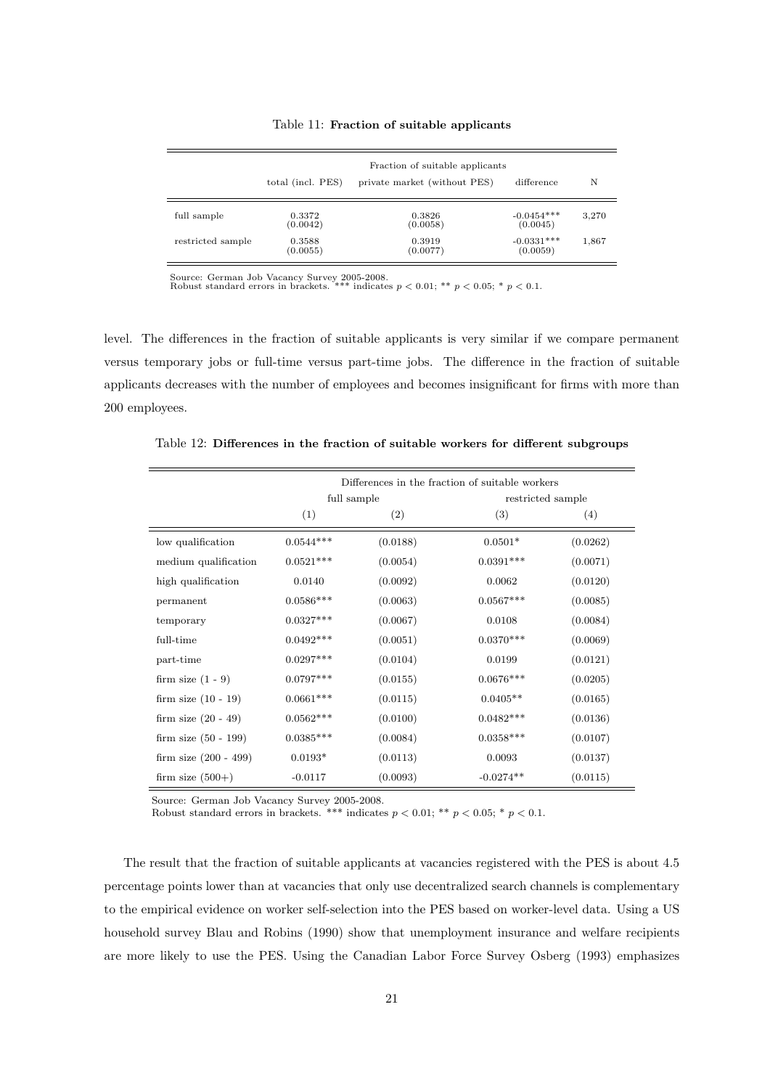|  |  |  |  | Table 11: Fraction of suitable applicants |
|--|--|--|--|-------------------------------------------|
|--|--|--|--|-------------------------------------------|

|                   | Fraction of suitable applicants |                              |                          |       |  |
|-------------------|---------------------------------|------------------------------|--------------------------|-------|--|
|                   | total (incl. PES)               | private market (without PES) | difference               | N     |  |
| full sample       | 0.3372<br>(0.0042)              | 0.3826<br>(0.0058)           | $-0.0454***$<br>(0.0045) | 3,270 |  |
| restricted sample | 0.3588<br>(0.0055)              | 0.3919<br>(0.0077)           | $-0.0331***$<br>(0.0059) | 1,867 |  |

Source: German Job Vacancy Survey 2005-2008.<br>Robust standard errors in brackets. \*\*\* indicates  $p < 0.01$ ; \*\*  $p < 0.05$ ; \*  $p < 0.1$ .

level. The differences in the fraction of suitable applicants is very similar if we compare permanent versus temporary jobs or full-time versus part-time jobs. The difference in the fraction of suitable applicants decreases with the number of employees and becomes insignificant for firms with more than 200 employees.

|                         | Differences in the fraction of suitable workers |          |                   |          |  |
|-------------------------|-------------------------------------------------|----------|-------------------|----------|--|
|                         | full sample                                     |          | restricted sample |          |  |
|                         | (1)                                             | (2)      | (3)               | (4)      |  |
| low qualification       | $0.0544***$                                     | (0.0188) | $0.0501*$         | (0.0262) |  |
| medium qualification    | $0.0521***$                                     | (0.0054) | $0.0391***$       | (0.0071) |  |
| high qualification      | 0.0140                                          | (0.0092) | 0.0062            | (0.0120) |  |
| permanent               | $0.0586***$                                     | (0.0063) | $0.0567***$       | (0.0085) |  |
| temporary               | $0.0327***$                                     | (0.0067) | 0.0108            | (0.0084) |  |
| full-time               | $0.0492***$                                     | (0.0051) | $0.0370***$       | (0.0069) |  |
| part-time               | $0.0297***$                                     | (0.0104) | 0.0199            | (0.0121) |  |
| firm size $(1 - 9)$     | $0.0797***$                                     | (0.0155) | $0.0676***$       | (0.0205) |  |
| firm size $(10 - 19)$   | $0.0661***$                                     | (0.0115) | $0.0405**$        | (0.0165) |  |
| firm size $(20 - 49)$   | $0.0562***$                                     | (0.0100) | $0.0482***$       | (0.0136) |  |
| firm size $(50 - 199)$  | $0.0385***$                                     | (0.0084) | $0.0358***$       | (0.0107) |  |
| firm size $(200 - 499)$ | $0.0193*$                                       | (0.0113) | 0.0093            | (0.0137) |  |
| firm size $(500+)$      | $-0.0117$                                       | (0.0093) | $-0.0274**$       | (0.0115) |  |

Table 12: Differences in the fraction of suitable workers for different subgroups

Source: German Job Vacancy Survey 2005-2008.

Robust standard errors in brackets. \*\*\* indicates  $p < 0.01$ ; \*\*  $p < 0.05$ ; \*  $p < 0.1$ .

The result that the fraction of suitable applicants at vacancies registered with the PES is about 4.5 percentage points lower than at vacancies that only use decentralized search channels is complementary to the empirical evidence on worker self-selection into the PES based on worker-level data. Using a US household survey Blau and Robins (1990) show that unemployment insurance and welfare recipients are more likely to use the PES. Using the Canadian Labor Force Survey Osberg (1993) emphasizes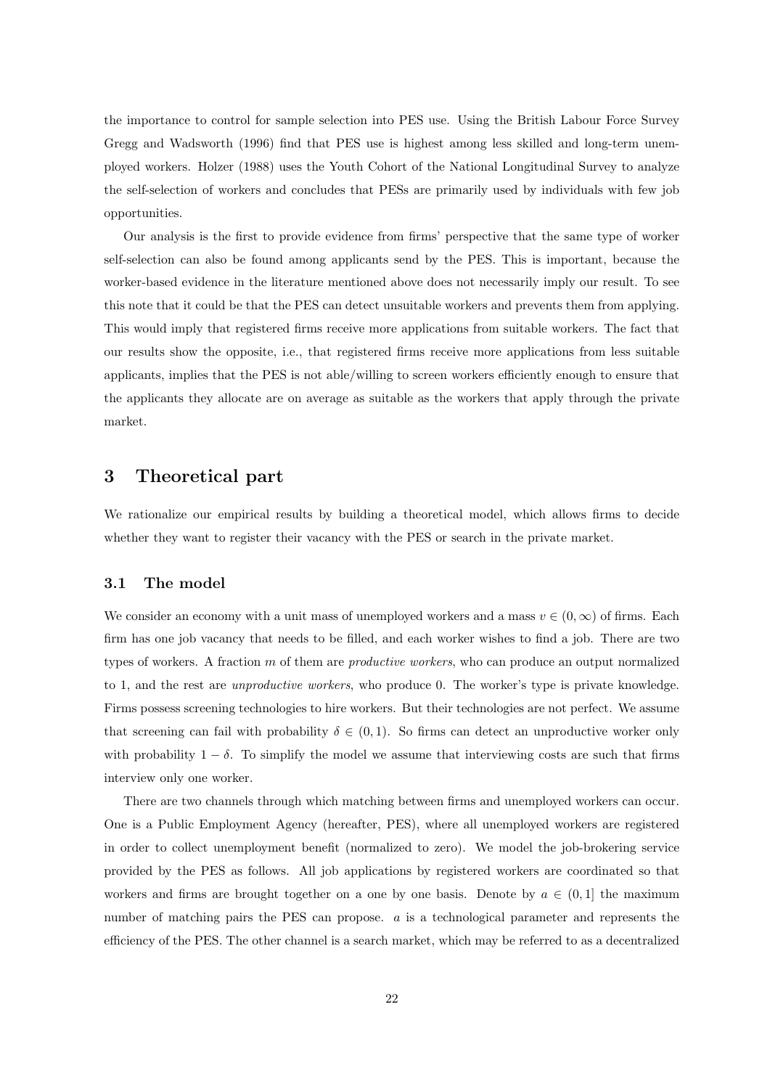the importance to control for sample selection into PES use. Using the British Labour Force Survey Gregg and Wadsworth (1996) find that PES use is highest among less skilled and long-term unemployed workers. Holzer (1988) uses the Youth Cohort of the National Longitudinal Survey to analyze the self-selection of workers and concludes that PESs are primarily used by individuals with few job opportunities.

Our analysis is the first to provide evidence from firms' perspective that the same type of worker self-selection can also be found among applicants send by the PES. This is important, because the worker-based evidence in the literature mentioned above does not necessarily imply our result. To see this note that it could be that the PES can detect unsuitable workers and prevents them from applying. This would imply that registered firms receive more applications from suitable workers. The fact that our results show the opposite, i.e., that registered firms receive more applications from less suitable applicants, implies that the PES is not able/willing to screen workers efficiently enough to ensure that the applicants they allocate are on average as suitable as the workers that apply through the private market.

# 3 Theoretical part

We rationalize our empirical results by building a theoretical model, which allows firms to decide whether they want to register their vacancy with the PES or search in the private market.

#### 3.1 The model

We consider an economy with a unit mass of unemployed workers and a mass  $v \in (0, \infty)$  of firms. Each firm has one job vacancy that needs to be filled, and each worker wishes to find a job. There are two types of workers. A fraction m of them are productive workers, who can produce an output normalized to 1, and the rest are unproductive workers, who produce 0. The worker's type is private knowledge. Firms possess screening technologies to hire workers. But their technologies are not perfect. We assume that screening can fail with probability  $\delta \in (0,1)$ . So firms can detect an unproductive worker only with probability  $1 - \delta$ . To simplify the model we assume that interviewing costs are such that firms interview only one worker.

There are two channels through which matching between firms and unemployed workers can occur. One is a Public Employment Agency (hereafter, PES), where all unemployed workers are registered in order to collect unemployment benefit (normalized to zero). We model the job-brokering service provided by the PES as follows. All job applications by registered workers are coordinated so that workers and firms are brought together on a one by one basis. Denote by  $a \in (0,1]$  the maximum number of matching pairs the PES can propose. a is a technological parameter and represents the efficiency of the PES. The other channel is a search market, which may be referred to as a decentralized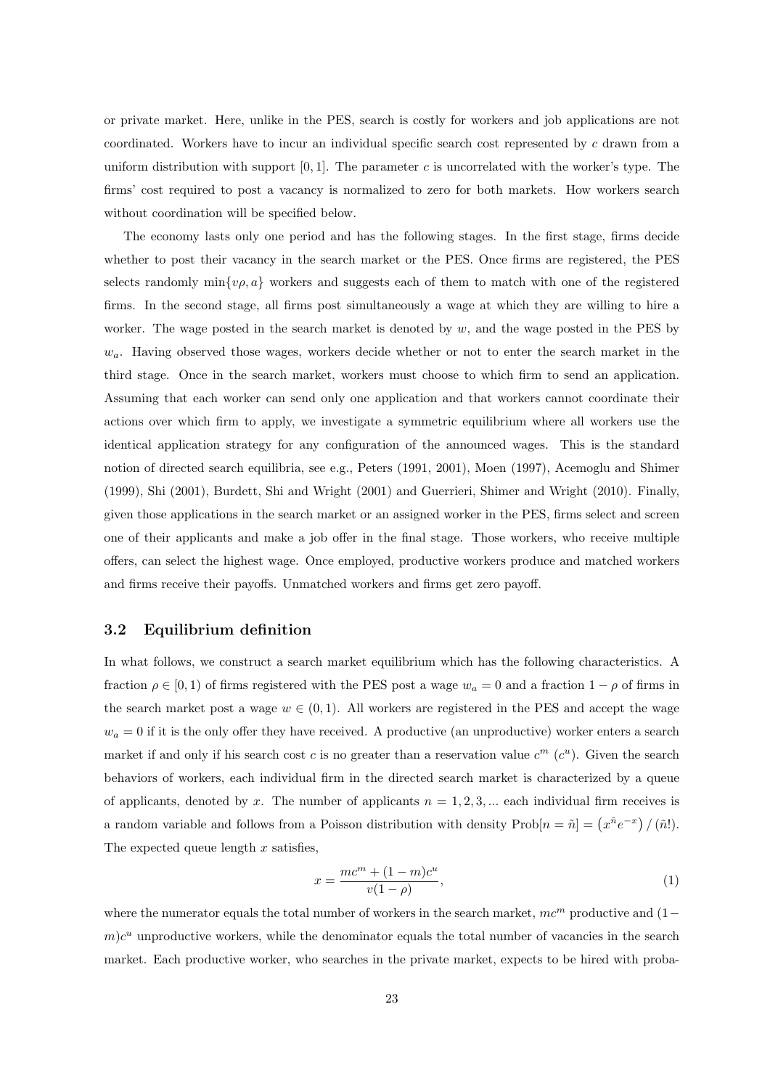or private market. Here, unlike in the PES, search is costly for workers and job applications are not coordinated. Workers have to incur an individual specific search cost represented by c drawn from a uniform distribution with support  $[0, 1]$ . The parameter c is uncorrelated with the worker's type. The firms' cost required to post a vacancy is normalized to zero for both markets. How workers search without coordination will be specified below.

The economy lasts only one period and has the following stages. In the first stage, firms decide whether to post their vacancy in the search market or the PES. Once firms are registered, the PES selects randomly min $\{\nu, a\}$  workers and suggests each of them to match with one of the registered firms. In the second stage, all firms post simultaneously a wage at which they are willing to hire a worker. The wage posted in the search market is denoted by  $w$ , and the wage posted in the PES by  $w_a$ . Having observed those wages, workers decide whether or not to enter the search market in the third stage. Once in the search market, workers must choose to which firm to send an application. Assuming that each worker can send only one application and that workers cannot coordinate their actions over which firm to apply, we investigate a symmetric equilibrium where all workers use the identical application strategy for any configuration of the announced wages. This is the standard notion of directed search equilibria, see e.g., Peters (1991, 2001), Moen (1997), Acemoglu and Shimer (1999), Shi (2001), Burdett, Shi and Wright (2001) and Guerrieri, Shimer and Wright (2010). Finally, given those applications in the search market or an assigned worker in the PES, firms select and screen one of their applicants and make a job offer in the final stage. Those workers, who receive multiple offers, can select the highest wage. Once employed, productive workers produce and matched workers and firms receive their payoffs. Unmatched workers and firms get zero payoff.

## 3.2 Equilibrium definition

In what follows, we construct a search market equilibrium which has the following characteristics. A fraction  $\rho \in [0, 1)$  of firms registered with the PES post a wage  $w_a = 0$  and a fraction  $1 - \rho$  of firms in the search market post a wage  $w \in (0, 1)$ . All workers are registered in the PES and accept the wage  $w_a = 0$  if it is the only offer they have received. A productive (an unproductive) worker enters a search market if and only if his search cost c is no greater than a reservation value  $c^m$  ( $c^u$ ). Given the search behaviors of workers, each individual firm in the directed search market is characterized by a queue of applicants, denoted by x. The number of applicants  $n = 1, 2, 3, \dots$  each individual firm receives is a random variable and follows from a Poisson distribution with density  $\text{Prob}[n = \tilde{n}] = (x^{\tilde{n}}e^{-x})/(\tilde{n}!)$ . The expected queue length  $x$  satisfies,

$$
x = \frac{mc^m + (1 - m)c^u}{v(1 - \rho)},
$$
\n(1)

where the numerator equals the total number of workers in the search market,  $mc<sup>m</sup>$  productive and (1–  $m)c<sup>u</sup>$  unproductive workers, while the denominator equals the total number of vacancies in the search market. Each productive worker, who searches in the private market, expects to be hired with proba-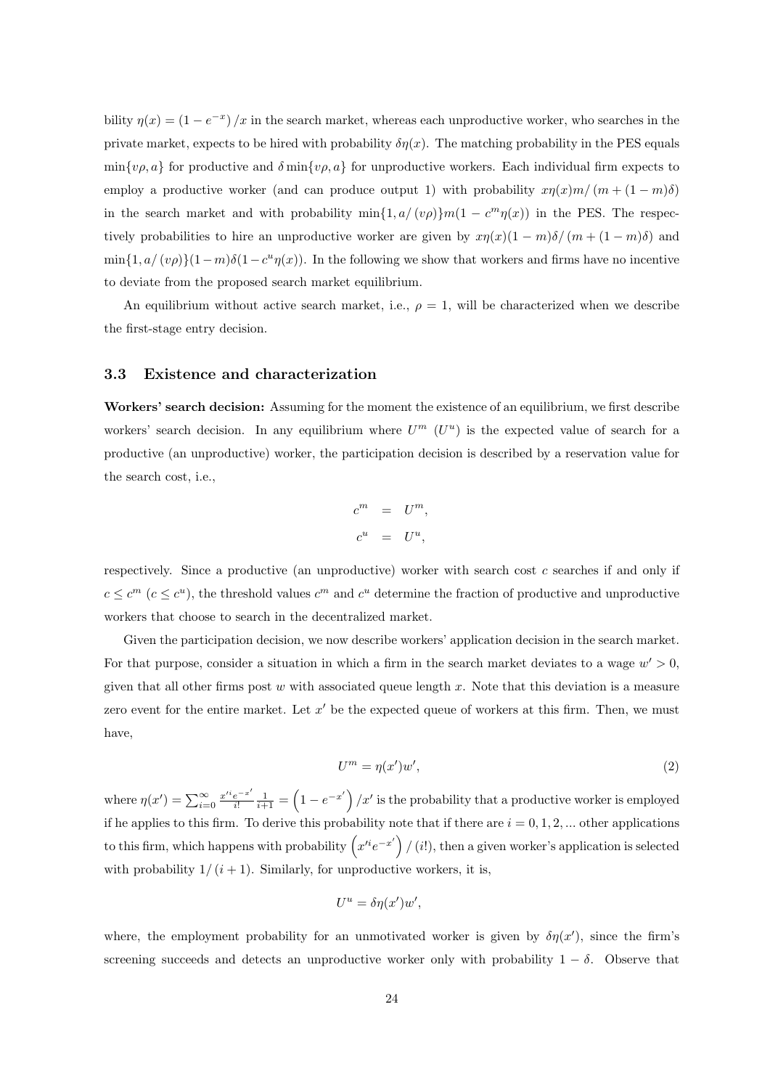bility  $\eta(x) = (1 - e^{-x})/x$  in the search market, whereas each unproductive worker, who searches in the private market, expects to be hired with probability  $\delta \eta(x)$ . The matching probability in the PES equals  $\min\{v\rho, a\}$  for productive and  $\delta \min\{v\rho, a\}$  for unproductive workers. Each individual firm expects to employ a productive worker (and can produce output 1) with probability  $x\eta(x)m/(m+(1-m)\delta)$ in the search market and with probability  $\min\{1, a/(v\rho)\}m(1 - c^m\eta(x))$  in the PES. The respectively probabilities to hire an unproductive worker are given by  $x\eta(x)(1 - m)\delta/(m + (1 - m)\delta)$  and  $\min\{1, a/(v\rho)\}(1-m)\delta(1-c^u\eta(x))$ . In the following we show that workers and firms have no incentive to deviate from the proposed search market equilibrium.

An equilibrium without active search market, i.e.,  $\rho = 1$ , will be characterized when we describe the first-stage entry decision.

#### 3.3 Existence and characterization

Workers' search decision: Assuming for the moment the existence of an equilibrium, we first describe workers' search decision. In any equilibrium where  $U^m$  ( $U^u$ ) is the expected value of search for a productive (an unproductive) worker, the participation decision is described by a reservation value for the search cost, i.e.,

$$
\begin{array}{rcl}\nc^m & = & U^m, \\
c^u & = & U^u,\n\end{array}
$$

respectively. Since a productive (an unproductive) worker with search cost c searches if and only if  $c \leq c^m$   $(c \leq c^u)$ , the threshold values  $c^m$  and  $c^u$  determine the fraction of productive and unproductive workers that choose to search in the decentralized market.

Given the participation decision, we now describe workers' application decision in the search market. For that purpose, consider a situation in which a firm in the search market deviates to a wage  $w' > 0$ , given that all other firms post w with associated queue length x. Note that this deviation is a measure zero event for the entire market. Let  $x'$  be the expected queue of workers at this firm. Then, we must have,

$$
U^m = \eta(x')w',\tag{2}
$$

where  $\eta(x') = \sum_{i=0}^{\infty} \frac{x'^i e^{-x'}}{i!}$  $\frac{e^{-x'}}{i!} \frac{1}{i+1} = \left(1 - e^{-x'}\right) / x'$  is the probability that a productive worker is employed if he applies to this firm. To derive this probability note that if there are  $i = 0, 1, 2, ...$  other applications to this firm, which happens with probability  $(x'^{i}e^{-x'})/i!$ , then a given worker's application is selected with probability  $1/(i + 1)$ . Similarly, for unproductive workers, it is,

$$
U^u = \delta \eta(x') w',
$$

where, the employment probability for an unmotivated worker is given by  $\delta \eta(x')$ , since the firm's screening succeeds and detects an unproductive worker only with probability  $1 - \delta$ . Observe that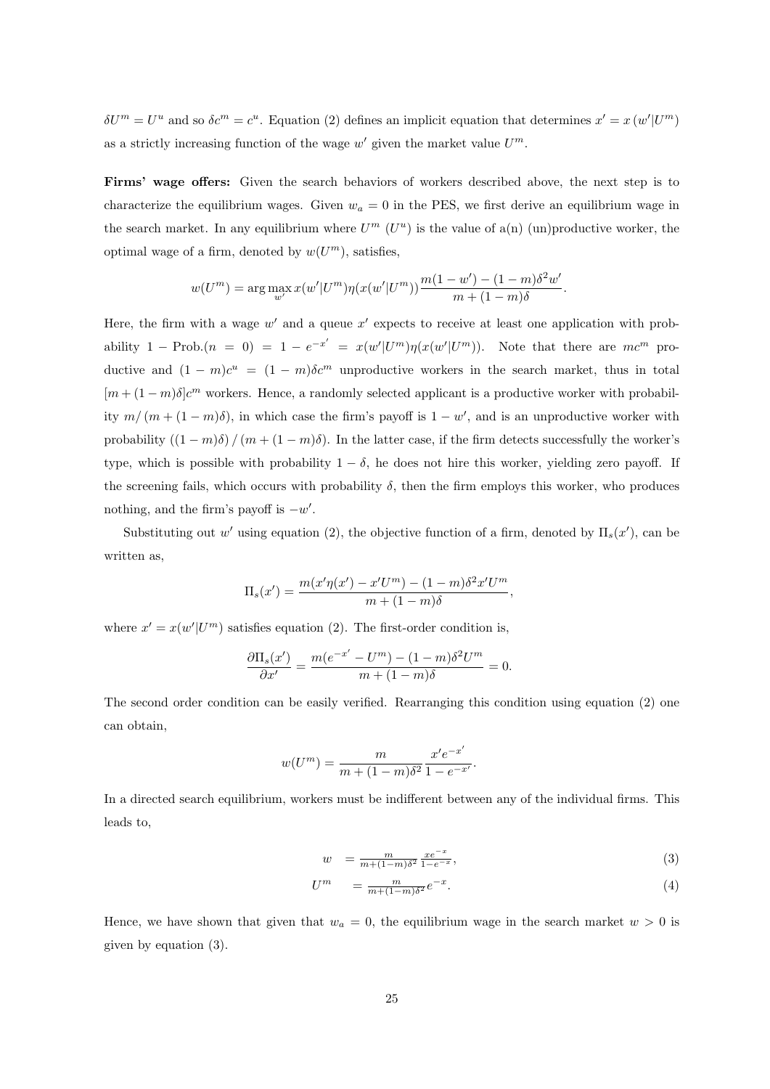$\delta U^m = U^u$  and so  $\delta c^m = c^u$ . Equation (2) defines an implicit equation that determines  $x' = x (w'|U^m)$ as a strictly increasing function of the wage  $w'$  given the market value  $U^m$ .

Firms' wage offers: Given the search behaviors of workers described above, the next step is to characterize the equilibrium wages. Given  $w_a = 0$  in the PES, we first derive an equilibrium wage in the search market. In any equilibrium where  $U^m$  ( $U^u$ ) is the value of a(n) (un)productive worker, the optimal wage of a firm, denoted by  $w(U^m)$ , satisfies,

$$
w(U^{m}) = \arg \max_{w'} x(w'|U^{m}) \eta(x(w'|U^{m})) \frac{m(1-w') - (1-m)\delta^{2}w'}{m + (1-m)\delta}.
$$

Here, the firm with a wage  $w'$  and a queue  $x'$  expects to receive at least one application with probability 1 – Prob. $(n = 0) = 1 - e^{-x'} = x(w'|U^m)\eta(x(w'|U^m))$ . Note that there are  $mc^m$  productive and  $(1 - m)c^u = (1 - m)\delta c^m$  unproductive workers in the search market, thus in total  $[m+(1-m)\delta]c^m$  workers. Hence, a randomly selected applicant is a productive worker with probability  $m/(m+(1-m)\delta)$ , in which case the firm's payoff is  $1-w'$ , and is an unproductive worker with probability  $((1 - m)\delta) / (m + (1 - m)\delta)$ . In the latter case, if the firm detects successfully the worker's type, which is possible with probability  $1 - \delta$ , he does not hire this worker, yielding zero payoff. If the screening fails, which occurs with probability  $\delta$ , then the firm employs this worker, who produces nothing, and the firm's payoff is  $-w'$ .

Substituting out w' using equation (2), the objective function of a firm, denoted by  $\Pi_s(x')$ , can be written as,

$$
\Pi_s(x') = \frac{m(x'\eta(x') - x'U^m) - (1 - m)\delta^2 x'U^m}{m + (1 - m)\delta},
$$

where  $x' = x(w'|U^m)$  satisfies equation (2). The first-order condition is,

$$
\frac{\partial \Pi_s(x')}{\partial x'} = \frac{m(e^{-x'} - U^m) - (1 - m)\delta^2 U^m}{m + (1 - m)\delta} = 0.
$$

The second order condition can be easily verified. Rearranging this condition using equation (2) one can obtain,

$$
w(U^{m}) = \frac{m}{m + (1 - m)\delta^{2}} \frac{x' e^{-x'}}{1 - e^{-x'}}.
$$

In a directed search equilibrium, workers must be indifferent between any of the individual firms. This leads to,

$$
w = \frac{m}{m + (1 - m)\delta^2} \frac{xe^{-x}}{1 - e^{-x}},
$$
\n(3)

$$
U^m = \frac{m}{m + (1 - m)\delta^2} e^{-x}.
$$
\n
$$
\tag{4}
$$

Hence, we have shown that given that  $w_a = 0$ , the equilibrium wage in the search market  $w > 0$  is given by equation (3).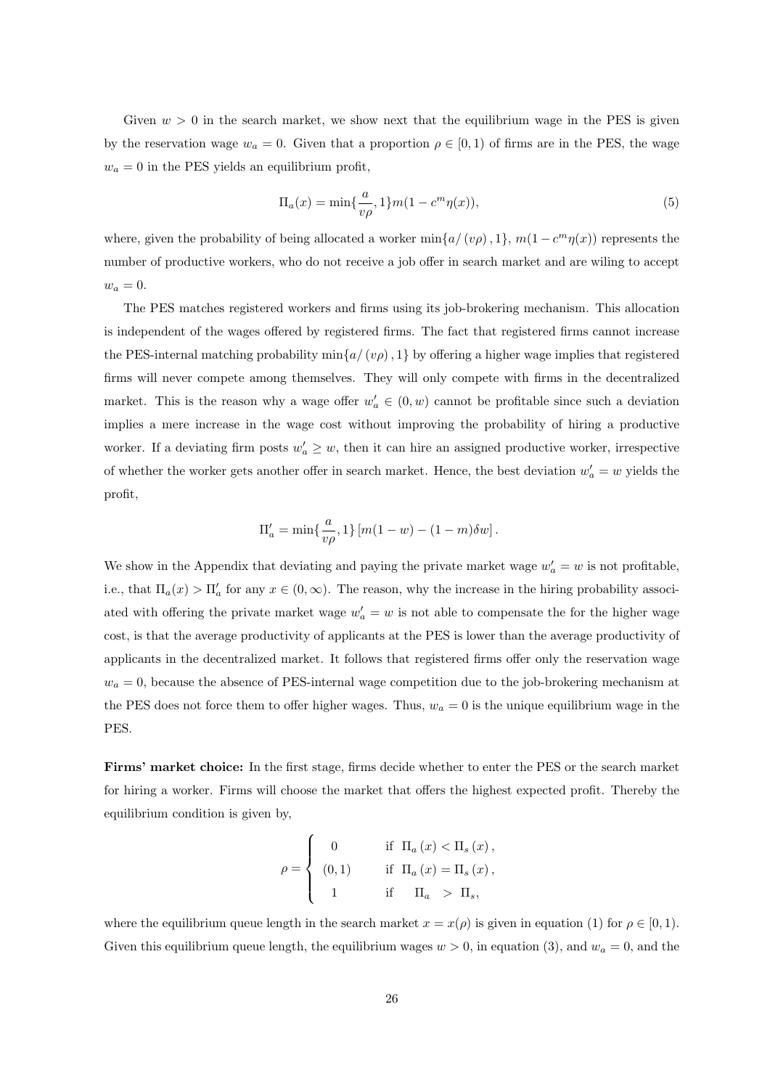Given  $w > 0$  in the search market, we show next that the equilibrium wage in the PES is given by the reservation wage  $w_a = 0$ . Given that a proportion  $\rho \in [0, 1)$  of firms are in the PES, the wage  $w_a = 0$  in the PES yields an equilibrium profit,

$$
\Pi_a(x) = \min\{\frac{a}{v\rho}, 1\} m(1 - c^m \eta(x)),\tag{5}
$$

where, given the probability of being allocated a worker  $\min\{a/(v\rho), 1\}$ ,  $m(1 - c^m \eta(x))$  represents the number of productive workers, who do not receive a job offer in search market and are wiling to accept  $w_a = 0.$ 

The PES matches registered workers and firms using its job-brokering mechanism. This allocation is independent of the wages offered by registered firms. The fact that registered firms cannot increase the PES-internal matching probability  $\min\{a/(\nu\rho), 1\}$  by offering a higher wage implies that registered firms will never compete among themselves. They will only compete with firms in the decentralized market. This is the reason why a wage offer  $w'_a \in (0, w)$  cannot be profitable since such a deviation implies a mere increase in the wage cost without improving the probability of hiring a productive worker. If a deviating firm posts  $w'_a \geq w$ , then it can hire an assigned productive worker, irrespective of whether the worker gets another offer in search market. Hence, the best deviation  $w'_a = w$  yields the profit,

$$
\Pi'_a = \min\{\frac{a}{v\rho}, 1\} [m(1-w) - (1-m)\delta w].
$$

We show in the Appendix that deviating and paying the private market wage  $w'_a = w$  is not profitable, i.e., that  $\Pi_a(x) > \Pi'_a$  for any  $x \in (0, \infty)$ . The reason, why the increase in the hiring probability associated with offering the private market wage  $w'_a = w$  is not able to compensate the for the higher wage cost, is that the average productivity of applicants at the PES is lower than the average productivity of applicants in the decentralized market. It follows that registered firms offer only the reservation wage  $w_a = 0$ , because the absence of PES-internal wage competition due to the job-brokering mechanism at the PES does not force them to offer higher wages. Thus,  $w_a = 0$  is the unique equilibrium wage in the PES.

Firms' market choice: In the first stage, firms decide whether to enter the PES or the search market for hiring a worker. Firms will choose the market that offers the highest expected profit. Thereby the equilibrium condition is given by,

$$
\rho = \begin{cases}\n0 & \text{if } \Pi_a(x) < \Pi_s(x), \\
(0,1) & \text{if } \Pi_a(x) = \Pi_s(x), \\
1 & \text{if } \Pi_a > \Pi_s,\n\end{cases}
$$

where the equilibrium queue length in the search market  $x = x(\rho)$  is given in equation (1) for  $\rho \in [0,1)$ . Given this equilibrium queue length, the equilibrium wages  $w > 0$ , in equation (3), and  $w_a = 0$ , and the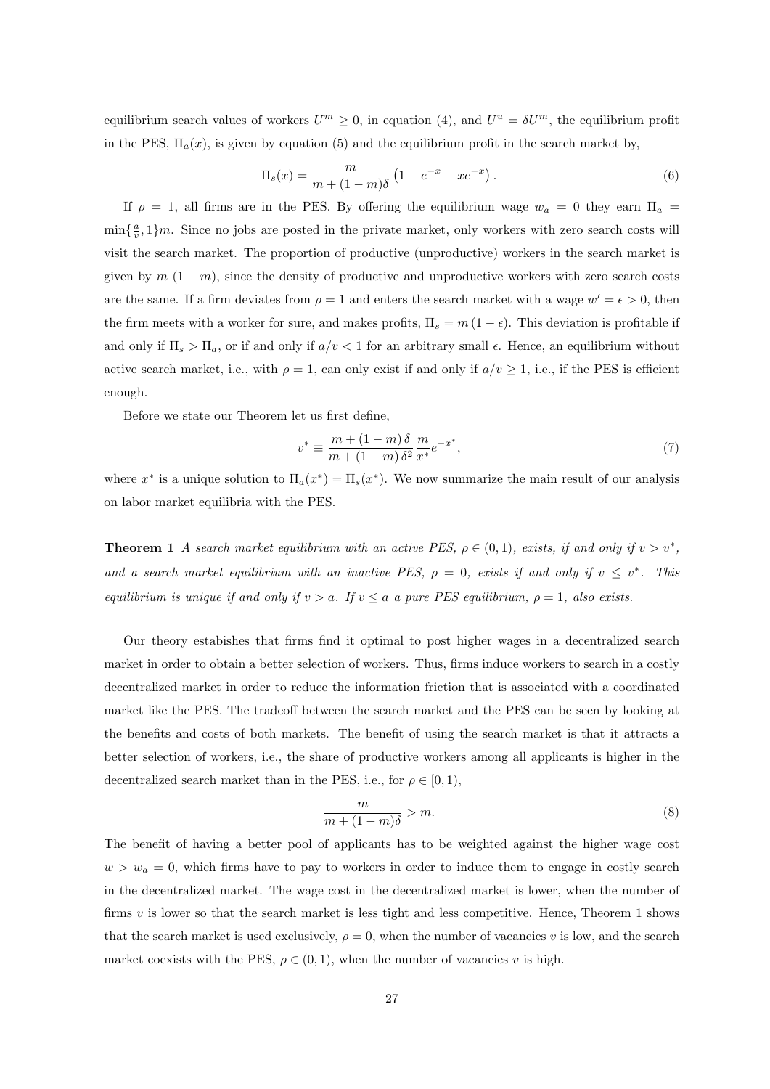equilibrium search values of workers  $U^m \geq 0$ , in equation (4), and  $U^u = \delta U^m$ , the equilibrium profit in the PES,  $\Pi_a(x)$ , is given by equation (5) and the equilibrium profit in the search market by,

$$
\Pi_s(x) = \frac{m}{m + (1 - m)\delta} \left( 1 - e^{-x} - x e^{-x} \right).
$$
\n(6)

If  $\rho = 1$ , all firms are in the PES. By offering the equilibrium wage  $w_a = 0$  they earn  $\Pi_a =$  $\min\{\frac{a}{v},1\}m$ . Since no jobs are posted in the private market, only workers with zero search costs will visit the search market. The proportion of productive (unproductive) workers in the search market is given by  $m (1 - m)$ , since the density of productive and unproductive workers with zero search costs are the same. If a firm deviates from  $\rho = 1$  and enters the search market with a wage  $w' = \epsilon > 0$ , then the firm meets with a worker for sure, and makes profits,  $\Pi_s = m(1 - \epsilon)$ . This deviation is profitable if and only if  $\Pi_s > \Pi_a$ , or if and only if  $a/v < 1$  for an arbitrary small  $\epsilon$ . Hence, an equilibrium without active search market, i.e., with  $\rho = 1$ , can only exist if and only if  $a/v \ge 1$ , i.e., if the PES is efficient enough.

Before we state our Theorem let us first define,

$$
v^* \equiv \frac{m + (1 - m)\,\delta}{m + (1 - m)\,\delta^2} \frac{m}{x^*} e^{-x^*},\tag{7}
$$

where  $x^*$  is a unique solution to  $\Pi_a(x^*) = \Pi_s(x^*)$ . We now summarize the main result of our analysis on labor market equilibria with the PES.

**Theorem 1** A search market equilibrium with an active PES,  $\rho \in (0,1)$ , exists, if and only if  $v > v^*$ , and a search market equilibrium with an inactive PES,  $\rho = 0$ , exists if and only if  $v \leq v^*$ . This equilibrium is unique if and only if  $v > a$ . If  $v \le a$  a pure PES equilibrium,  $\rho = 1$ , also exists.

Our theory estabishes that firms find it optimal to post higher wages in a decentralized search market in order to obtain a better selection of workers. Thus, firms induce workers to search in a costly decentralized market in order to reduce the information friction that is associated with a coordinated market like the PES. The tradeoff between the search market and the PES can be seen by looking at the benefits and costs of both markets. The benefit of using the search market is that it attracts a better selection of workers, i.e., the share of productive workers among all applicants is higher in the decentralized search market than in the PES, i.e., for  $\rho \in [0, 1)$ ,

$$
\frac{m}{m + (1 - m)\delta} > m.
$$
 (8)

The benefit of having a better pool of applicants has to be weighted against the higher wage cost  $w > w_a = 0$ , which firms have to pay to workers in order to induce them to engage in costly search in the decentralized market. The wage cost in the decentralized market is lower, when the number of firms v is lower so that the search market is less tight and less competitive. Hence, Theorem 1 shows that the search market is used exclusively,  $\rho = 0$ , when the number of vacancies v is low, and the search market coexists with the PES,  $\rho \in (0, 1)$ , when the number of vacancies v is high.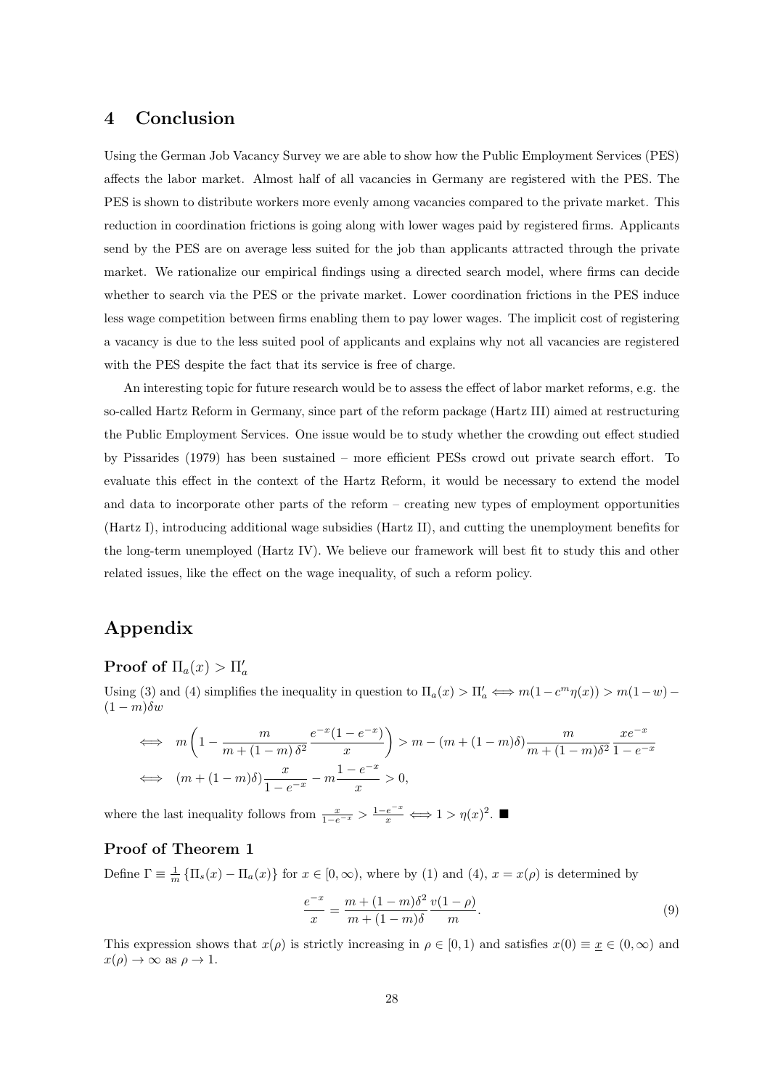# 4 Conclusion

Using the German Job Vacancy Survey we are able to show how the Public Employment Services (PES) affects the labor market. Almost half of all vacancies in Germany are registered with the PES. The PES is shown to distribute workers more evenly among vacancies compared to the private market. This reduction in coordination frictions is going along with lower wages paid by registered firms. Applicants send by the PES are on average less suited for the job than applicants attracted through the private market. We rationalize our empirical findings using a directed search model, where firms can decide whether to search via the PES or the private market. Lower coordination frictions in the PES induce less wage competition between firms enabling them to pay lower wages. The implicit cost of registering a vacancy is due to the less suited pool of applicants and explains why not all vacancies are registered with the PES despite the fact that its service is free of charge.

An interesting topic for future research would be to assess the effect of labor market reforms, e.g. the so-called Hartz Reform in Germany, since part of the reform package (Hartz III) aimed at restructuring the Public Employment Services. One issue would be to study whether the crowding out effect studied by Pissarides (1979) has been sustained – more efficient PESs crowd out private search effort. To evaluate this effect in the context of the Hartz Reform, it would be necessary to extend the model and data to incorporate other parts of the reform – creating new types of employment opportunities (Hartz I), introducing additional wage subsidies (Hartz II), and cutting the unemployment benefits for the long-term unemployed (Hartz IV). We believe our framework will best fit to study this and other related issues, like the effect on the wage inequality, of such a reform policy.

# Appendix

# Proof of  $\Pi_a(x) > \Pi'_a$

Using (3) and (4) simplifies the inequality in question to  $\Pi_a(x) > \Pi'_a \iff m(1 - c^m \eta(x)) > m(1 - w) (1 - m)\delta w$ 

$$
\iff m\left(1 - \frac{m}{m + (1 - m)\delta^2} \frac{e^{-x}(1 - e^{-x})}{x}\right) > m - (m + (1 - m)\delta) \frac{m}{m + (1 - m)\delta^2} \frac{xe^{-x}}{1 - e^{-x}}
$$
\n
$$
\iff (m + (1 - m)\delta) \frac{x}{1 - e^{-x}} - m \frac{1 - e^{-x}}{x} > 0,
$$

where the last inequality follows from  $\frac{x}{1-e^{-x}} > \frac{1-e^{-x}}{x} \iff 1 > \eta(x)^2$ .

#### Proof of Theorem 1

Define  $\Gamma \equiv \frac{1}{m} \{ \Pi_s(x) - \Pi_a(x) \}$  for  $x \in [0, \infty)$ , where by (1) and (4),  $x = x(\rho)$  is determined by

$$
\frac{e^{-x}}{x} = \frac{m + (1 - m)\delta^2}{m + (1 - m)\delta} \frac{v(1 - \rho)}{m}.
$$
\n(9)

This expression shows that  $x(\rho)$  is strictly increasing in  $\rho \in [0,1)$  and satisfies  $x(0) \equiv \underline{x} \in (0,\infty)$  and  $x(\rho) \to \infty$  as  $\rho \to 1$ .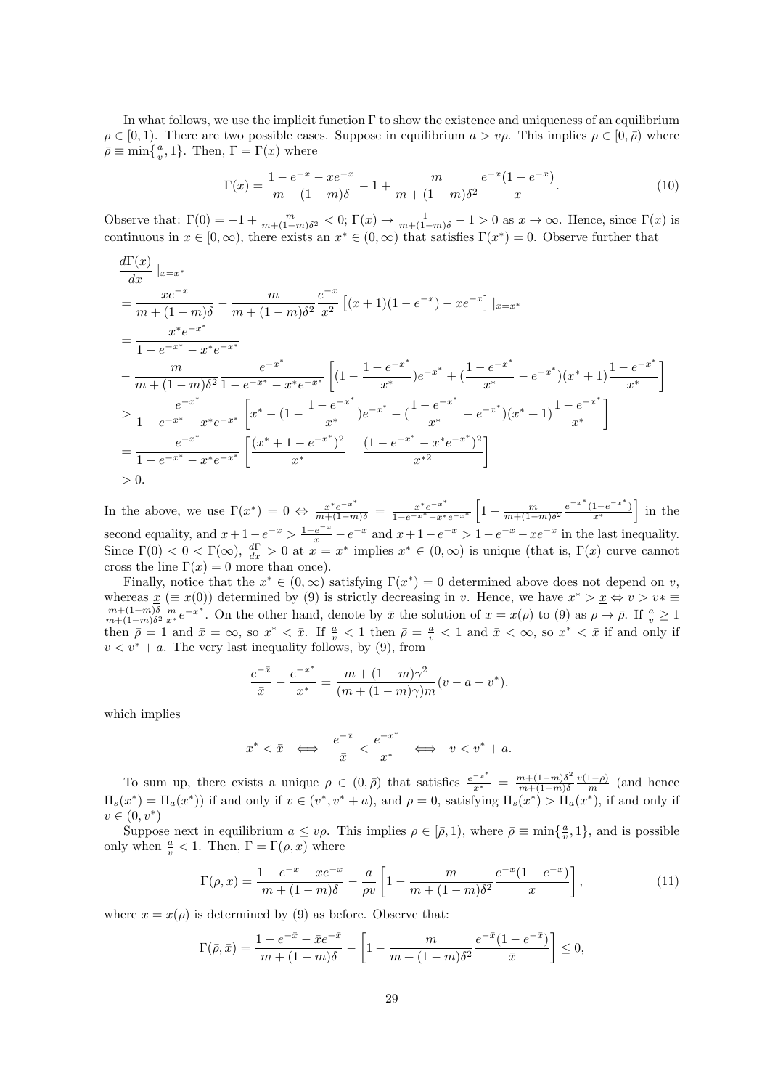In what follows, we use the implicit function Γ to show the existence and uniqueness of an equilibrium  $\rho \in [0, 1)$ . There are two possible cases. Suppose in equilibrium  $a > v\rho$ . This implies  $\rho \in [0, \overline{\rho})$  where  $\bar{\rho} \equiv \min\{\frac{a}{v}, 1\}.$  Then,  $\Gamma = \Gamma(x)$  where

$$
\Gamma(x) = \frac{1 - e^{-x} - xe^{-x}}{m + (1 - m)\delta} - 1 + \frac{m}{m + (1 - m)\delta^2} \frac{e^{-x}(1 - e^{-x})}{x}.
$$
\n(10)

Observe that:  $\Gamma(0) = -1 + \frac{m}{m + (1-m)\delta^2} < 0$ ;  $\Gamma(x) \to \frac{1}{m + (1-m)\delta} - 1 > 0$  as  $x \to \infty$ . Hence, since  $\Gamma(x)$  is continuous in  $x \in [0, \infty)$ , there exists an  $x^* \in (0, \infty)$  that satisfies  $\Gamma(x^*) = 0$ . Observe further that

$$
\frac{d\Gamma(x)}{dx}|_{x=x^{*}}
$$
\n
$$
= \frac{xe^{-x}}{m + (1-m)\delta} - \frac{m}{m + (1-m)\delta^{2}} \frac{e^{-x}}{x^{2}} [(x+1)(1-e^{-x}) - xe^{-x}]|_{x=x^{*}}
$$
\n
$$
= \frac{x^{*}e^{-x^{*}}}{1 - e^{-x^{*}} - x^{*}e^{-x^{*}}}
$$
\n
$$
- \frac{m}{m + (1-m)\delta^{2}} \frac{e^{-x^{*}}}{1 - e^{-x^{*}} - x^{*}e^{-x^{*}}} \left[ (1 - \frac{1 - e^{-x^{*}}}{x^{*}})e^{-x^{*}} + (\frac{1 - e^{-x^{*}}}{x^{*}} - e^{-x^{*}})(x^{*} + 1) \frac{1 - e^{-x^{*}}}{x^{*}} \right]
$$
\n
$$
> \frac{e^{-x^{*}}}{1 - e^{-x^{*}} - x^{*}e^{-x^{*}}} \left[ x^{*} - (1 - \frac{1 - e^{-x^{*}}}{x^{*}})e^{-x^{*}} - (\frac{1 - e^{-x^{*}}}{x^{*}} - e^{-x^{*}})(x^{*} + 1) \frac{1 - e^{-x^{*}}}{x^{*}} \right]
$$
\n
$$
= \frac{e^{-x^{*}}}{1 - e^{-x^{*}} - x^{*}e^{-x^{*}}} \left[ \frac{(x^{*} + 1 - e^{-x^{*}})^{2}}{x^{*}} - \frac{(1 - e^{-x^{*}} - x^{*}e^{-x^{*}})^{2}}{x^{*2}} \right]
$$
\n
$$
> 0.
$$

In the above, we use  $\Gamma(x^*) = 0 \Leftrightarrow \frac{x^* e^{-x^*}}{m + (1-m)\delta} = \frac{x^* e^{-x^*}}{1-e^{-x^*}-x^*}$  $\frac{x^*e^{-x^*}}{1-e^{-x^*}-x^*e^{-x^*}}$   $\left[1-\frac{m}{m+(1-m)\delta^2}\frac{e^{-x^*}(1-e^{-x^*})}{x^*}\right]$  in the second equality, and  $x+1-e^{-x} > \frac{1-e^{-x}}{x}-e^{-x}$  and  $x+1-e^{-x} > 1-e^{-x}-xe^{-x}$  in the last inequality. Since  $\Gamma(0) < 0 < \Gamma(\infty)$ ,  $\frac{d\Gamma}{dx} > 0$  at  $x = x^*$  implies  $x^* \in (0, \infty)$  is unique (that is,  $\Gamma(x)$  curve cannot cross the line  $\Gamma(x) = 0$  more than once).

Finally, notice that the  $x^* \in (0,\infty)$  satisfying  $\Gamma(x^*) = 0$  determined above does not depend on v, whereas  $\underline{x}$  ( $\equiv x(0)$ ) determined by (9) is strictly decreasing in v. Hence, we have  $x^* > \underline{x} \Leftrightarrow v > v^* \equiv$  $m+(1-m)\delta$  $\frac{m+(1-m)\delta}{m+(1-m)\delta^2}\frac{m}{x^*}e^{-x^*}$ . On the other hand, denote by  $\bar{x}$  the solution of  $x=x(\rho)$  to (9) as  $\rho \to \bar{\rho}$ . If  $\frac{a}{v} \ge 1$ then  $\bar{\rho} = 1$  and  $\bar{x} = \infty$ , so  $x^* < \bar{x}$ . If  $\frac{a}{v} < 1$  then  $\bar{\rho} = \frac{a}{v} < 1$  and  $\bar{x} < \infty$ , so  $x^* < \bar{x}$  if and only if  $v < v^* + a$ . The very last inequality follows, by (9), from

$$
\frac{e^{-\bar{x}}}{\bar{x}} - \frac{e^{-x^*}}{x^*} = \frac{m + (1 - m)\gamma^2}{(m + (1 - m)\gamma)m}(v - a - v^*).
$$

which implies

$$
x^* < \bar{x} \quad \Longleftrightarrow \quad \frac{e^{-\bar{x}}}{\bar{x}} < \frac{e^{-x^*}}{x^*} \quad \Longleftrightarrow \quad v < v^* + a.
$$

To sum up, there exists a unique  $\rho \in (0, \bar{\rho})$  that satisfies  $\frac{e^{-x^*}}{x^*} = \frac{m+(1-m)\delta^2}{m+(1-m)\delta}$  $m+(1-m)\delta$  $\frac{v(1-\rho)}{m}$  (and hence  $\Pi_s(x^*) = \Pi_a(x^*)$  if and only if  $v \in (v^*, v^* + a)$ , and  $\rho = 0$ , satisfying  $\Pi_s(x^*) > \Pi_a(x^*)$ , if and only if  $v \in (0, v^*)$ 

Suppose next in equilibrium  $a \leq v\rho$ . This implies  $\rho \in [\bar{\rho}, 1)$ , where  $\bar{\rho} \equiv \min\{\frac{a}{v}, 1\}$ , and is possible only when  $\frac{a}{v} < 1$ . Then,  $\Gamma = \Gamma(\rho, x)$  where

$$
\Gamma(\rho, x) = \frac{1 - e^{-x} - x e^{-x}}{m + (1 - m)\delta} - \frac{a}{\rho v} \left[ 1 - \frac{m}{m + (1 - m)\delta^2} \frac{e^{-x} (1 - e^{-x})}{x} \right],
$$
\n(11)

where  $x = x(\rho)$  is determined by (9) as before. Observe that:

$$
\Gamma(\bar{\rho}, \bar{x}) = \frac{1 - e^{-\bar{x}} - \bar{x}e^{-\bar{x}}}{m + (1 - m)\delta} - \left[1 - \frac{m}{m + (1 - m)\delta^2} \frac{e^{-\bar{x}}(1 - e^{-\bar{x}})}{\bar{x}}\right] \le 0,
$$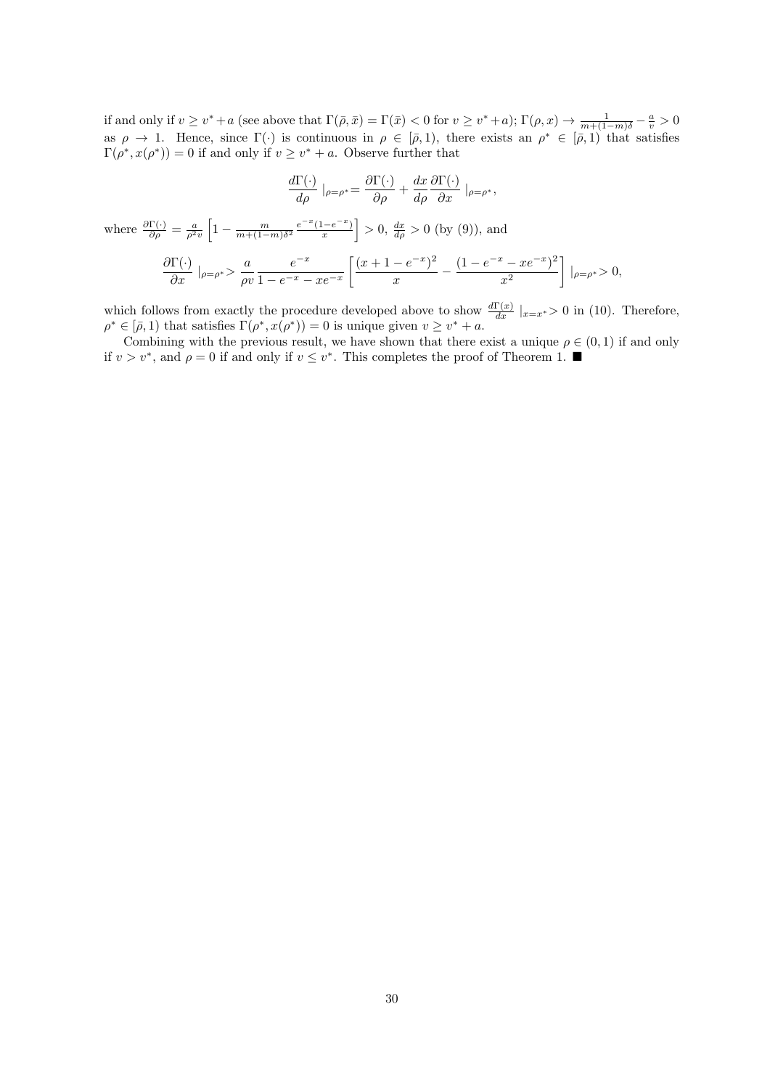if and only if  $v \geq v^* + a$  (see above that  $\Gamma(\bar{\rho}, \bar{x}) = \Gamma(\bar{x}) < 0$  for  $v \geq v^* + a$ );  $\Gamma(\rho, x) \to \frac{1}{m + (1-m)\delta} - \frac{a}{v} > 0$ as  $\rho \to 1$ . Hence, since  $\Gamma(\cdot)$  is continuous in  $\rho \in [\bar{\rho}, 1)$ , there exists an  $\rho^* \in [\bar{\rho}, 1)$  that satisfies  $\Gamma(\rho^*, x(\rho^*)) = 0$  if and only if  $v \geq v^* + a$ . Observe further that

$$
\frac{d\Gamma(\cdot)}{d\rho}\big|_{\rho=\rho^*} = \frac{\partial\Gamma(\cdot)}{\partial\rho} + \frac{dx}{d\rho}\frac{\partial\Gamma(\cdot)}{\partial x}\big|_{\rho=\rho^*},
$$

where 
$$
\frac{\partial \Gamma(\cdot)}{\partial \rho} = \frac{a}{\rho^2 v} \left[ 1 - \frac{m}{m + (1 - m)\delta^2} \frac{e^{-x} (1 - e^{-x})}{x} \right] > 0
$$
,  $\frac{dx}{d\rho} > 0$  (by (9)), and  

$$
\frac{\partial \Gamma(\cdot)}{\partial x} \Big|_{\rho = \rho^*} > \frac{a}{\rho v} \frac{e^{-x}}{1 - e^{-x} - x e^{-x}} \left[ \frac{(x + 1 - e^{-x})^2}{x} - \frac{(1 - e^{-x} - x e^{-x})^2}{x^2} \right] \Big|_{\rho = \rho^*} > 0
$$

which follows from exactly the procedure developed above to show  $\frac{d\Gamma(x)}{dx}|_{x=x^*}>0$  in (10). Therefore,  $\rho^* \in [\bar{\rho}, 1]$  that satisfies  $\Gamma(\rho^*, x(\rho^*)) = 0$  is unique given  $v \geq v^* + a$ .

Combining with the previous result, we have shown that there exist a unique  $\rho \in (0,1)$  if and only if  $v > v^*$ , and  $\rho = 0$  if and only if  $v \leq v^*$ . This completes the proof of Theorem 1. ■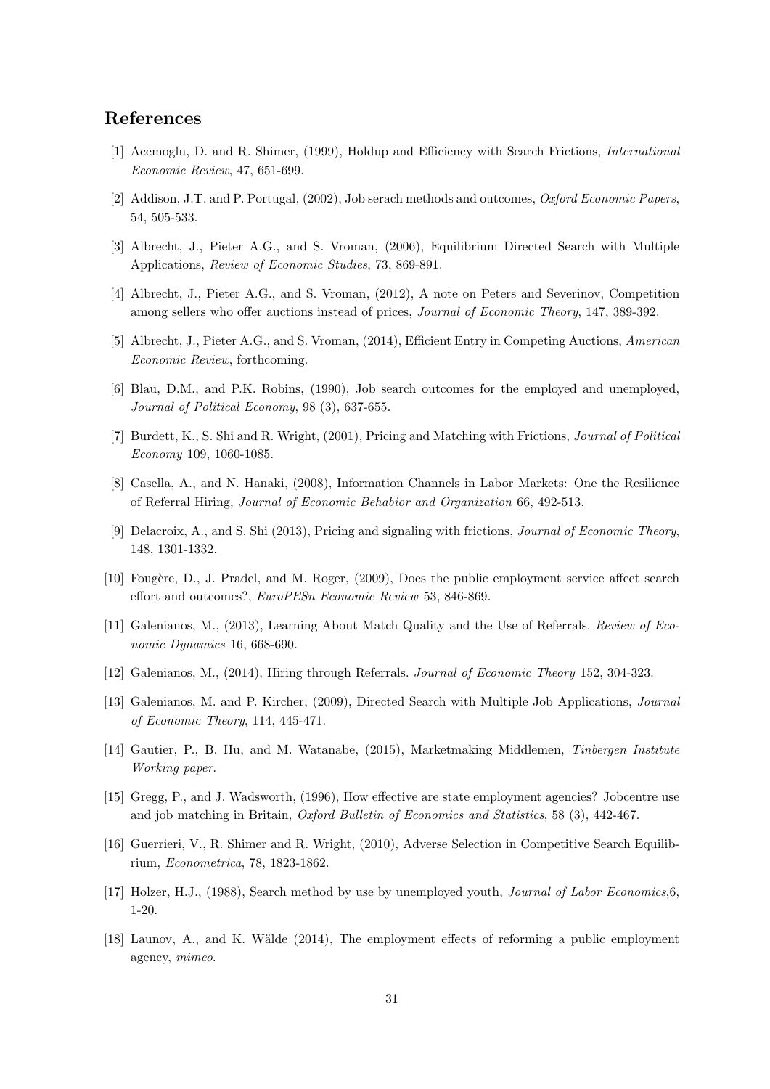# References

- [1] Acemoglu, D. and R. Shimer, (1999), Holdup and Efficiency with Search Frictions, International Economic Review, 47, 651-699.
- [2] Addison, J.T. and P. Portugal, (2002), Job serach methods and outcomes, Oxford Economic Papers, 54, 505-533.
- [3] Albrecht, J., Pieter A.G., and S. Vroman, (2006), Equilibrium Directed Search with Multiple Applications, Review of Economic Studies, 73, 869-891.
- [4] Albrecht, J., Pieter A.G., and S. Vroman, (2012), A note on Peters and Severinov, Competition among sellers who offer auctions instead of prices, Journal of Economic Theory, 147, 389-392.
- [5] Albrecht, J., Pieter A.G., and S. Vroman, (2014), Efficient Entry in Competing Auctions, American Economic Review, forthcoming.
- [6] Blau, D.M., and P.K. Robins, (1990), Job search outcomes for the employed and unemployed, Journal of Political Economy, 98 (3), 637-655.
- [7] Burdett, K., S. Shi and R. Wright, (2001), Pricing and Matching with Frictions, Journal of Political Economy 109, 1060-1085.
- [8] Casella, A., and N. Hanaki, (2008), Information Channels in Labor Markets: One the Resilience of Referral Hiring, Journal of Economic Behabior and Organization 66, 492-513.
- [9] Delacroix, A., and S. Shi (2013), Pricing and signaling with frictions, Journal of Economic Theory, 148, 1301-1332.
- [10] Fougère, D., J. Pradel, and M. Roger, (2009), Does the public employment service affect search effort and outcomes?, EuroPESn Economic Review 53, 846-869.
- [11] Galenianos, M., (2013), Learning About Match Quality and the Use of Referrals. Review of Economic Dynamics 16, 668-690.
- [12] Galenianos, M., (2014), Hiring through Referrals. Journal of Economic Theory 152, 304-323.
- [13] Galenianos, M. and P. Kircher, (2009), Directed Search with Multiple Job Applications, *Journal* of Economic Theory, 114, 445-471.
- [14] Gautier, P., B. Hu, and M. Watanabe, (2015), Marketmaking Middlemen, Tinbergen Institute Working paper.
- [15] Gregg, P., and J. Wadsworth, (1996), How effective are state employment agencies? Jobcentre use and job matching in Britain, Oxford Bulletin of Economics and Statistics, 58 (3), 442-467.
- [16] Guerrieri, V., R. Shimer and R. Wright, (2010), Adverse Selection in Competitive Search Equilibrium, Econometrica, 78, 1823-1862.
- [17] Holzer, H.J., (1988), Search method by use by unemployed youth, *Journal of Labor Economics*,6, 1-20.
- [18] Launov, A., and K. Wälde (2014), The employment effects of reforming a public employment agency, mimeo.